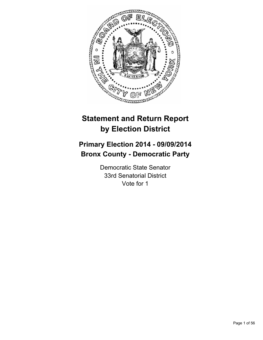

# **Statement and Return Report by Election District**

# **Primary Election 2014 - 09/09/2014 Bronx County - Democratic Party**

Democratic State Senator 33rd Senatorial District Vote for 1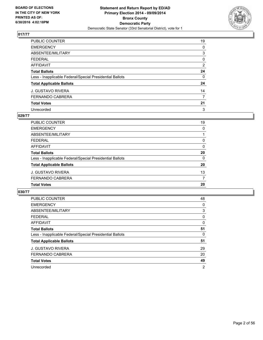

| PUBLIC COUNTER                                           | 19 |
|----------------------------------------------------------|----|
| <b>EMERGENCY</b>                                         | 0  |
| ABSENTEE/MILITARY                                        | 3  |
| <b>FEDERAL</b>                                           | 0  |
| <b>AFFIDAVIT</b>                                         | 2  |
| <b>Total Ballots</b>                                     | 24 |
| Less - Inapplicable Federal/Special Presidential Ballots | 0  |
| <b>Total Applicable Ballots</b>                          | 24 |
| <b>J. GUSTAVO RIVERA</b>                                 | 14 |
| <b>FERNANDO CABRERA</b>                                  | 7  |
| <b>Total Votes</b>                                       | 21 |
| Unrecorded                                               | 3  |

## **029/77**

| <b>PUBLIC COUNTER</b>                                    | 19       |
|----------------------------------------------------------|----------|
| <b>EMERGENCY</b>                                         | 0        |
| <b>ABSENTEE/MILITARY</b>                                 |          |
| <b>FEDERAL</b>                                           | 0        |
| <b>AFFIDAVIT</b>                                         | 0        |
| <b>Total Ballots</b>                                     | 20       |
| Less - Inapplicable Federal/Special Presidential Ballots | $\Omega$ |
| <b>Total Applicable Ballots</b>                          | 20       |
| J. GUSTAVO RIVERA                                        | 13       |
| <b>FERNANDO CABRERA</b>                                  | 7        |
| <b>Total Votes</b>                                       | 20       |
|                                                          |          |

| <b>PUBLIC COUNTER</b>                                    | 48 |
|----------------------------------------------------------|----|
| <b>EMERGENCY</b>                                         | 0  |
| ABSENTEE/MILITARY                                        | 3  |
| <b>FEDERAL</b>                                           | 0  |
| <b>AFFIDAVIT</b>                                         | 0  |
| <b>Total Ballots</b>                                     | 51 |
| Less - Inapplicable Federal/Special Presidential Ballots | 0  |
| <b>Total Applicable Ballots</b>                          | 51 |
| <b>J. GUSTAVO RIVERA</b>                                 | 29 |
| <b>FERNANDO CABRERA</b>                                  | 20 |
| <b>Total Votes</b>                                       | 49 |
| Unrecorded                                               | 2  |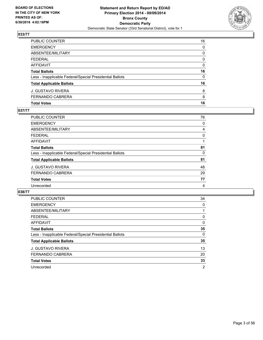

| PUBLIC COUNTER                                           | 16 |
|----------------------------------------------------------|----|
| EMERGENCY                                                | 0  |
| ABSENTEE/MILITARY                                        | 0  |
| FEDERAL                                                  | 0  |
| AFFIDAVIT                                                | 0  |
| <b>Total Ballots</b>                                     | 16 |
| Less - Inapplicable Federal/Special Presidential Ballots | 0  |
| <b>Total Applicable Ballots</b>                          | 16 |
| J. GUSTAVO RIVERA                                        | 8  |
| FERNANDO CABRERA                                         | 8  |
| <b>Total Votes</b>                                       | 16 |

## **037/77**

| PUBLIC COUNTER                                           | 76 |
|----------------------------------------------------------|----|
| <b>EMERGENCY</b>                                         | 0  |
| <b>ABSENTEE/MILITARY</b>                                 | 4  |
| <b>FEDERAL</b>                                           | 0  |
| <b>AFFIDAVIT</b>                                         |    |
| <b>Total Ballots</b>                                     | 81 |
| Less - Inapplicable Federal/Special Presidential Ballots | 0  |
| <b>Total Applicable Ballots</b>                          | 81 |
| J. GUSTAVO RIVERA                                        | 48 |
| <b>FERNANDO CABRERA</b>                                  | 29 |
| <b>Total Votes</b>                                       | 77 |
| Unrecorded                                               | 4  |
|                                                          |    |

| <b>PUBLIC COUNTER</b>                                    | 34             |
|----------------------------------------------------------|----------------|
| <b>EMERGENCY</b>                                         | 0              |
| ABSENTEE/MILITARY                                        |                |
| <b>FEDERAL</b>                                           | 0              |
| AFFIDAVIT                                                | 0              |
| <b>Total Ballots</b>                                     | 35             |
| Less - Inapplicable Federal/Special Presidential Ballots | 0              |
| <b>Total Applicable Ballots</b>                          | 35             |
| <b>J. GUSTAVO RIVERA</b>                                 | 13             |
| <b>FERNANDO CABRERA</b>                                  | 20             |
| <b>Total Votes</b>                                       | 33             |
| Unrecorded                                               | $\overline{2}$ |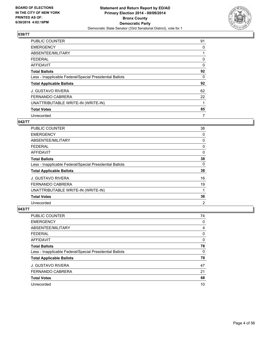

| <b>PUBLIC COUNTER</b>                                    | 91       |
|----------------------------------------------------------|----------|
| <b>EMERGENCY</b>                                         | 0        |
| ABSENTEE/MILITARY                                        |          |
| <b>FEDERAL</b>                                           | 0        |
| <b>AFFIDAVIT</b>                                         | $\Omega$ |
| <b>Total Ballots</b>                                     | 92       |
| Less - Inapplicable Federal/Special Presidential Ballots | 0        |
| <b>Total Applicable Ballots</b>                          | 92       |
| <b>J. GUSTAVO RIVERA</b>                                 | 62       |
| <b>FERNANDO CABRERA</b>                                  | 22       |
| UNATTRIBUTABLE WRITE-IN (WRITE-IN)                       |          |
| <b>Total Votes</b>                                       | 85       |
| Unrecorded                                               | 7        |

## **042/77**

| PUBLIC COUNTER                                           | 38             |
|----------------------------------------------------------|----------------|
| <b>EMERGENCY</b>                                         | 0              |
| ABSENTEE/MILITARY                                        | 0              |
| <b>FEDERAL</b>                                           | 0              |
| AFFIDAVIT                                                | 0              |
| <b>Total Ballots</b>                                     | 38             |
| Less - Inapplicable Federal/Special Presidential Ballots | 0              |
| <b>Total Applicable Ballots</b>                          | 38             |
| <b>J. GUSTAVO RIVERA</b>                                 | 16             |
| <b>FERNANDO CABRERA</b>                                  | 19             |
| UNATTRIBUTABLE WRITE-IN (WRITE-IN)                       | 1              |
| <b>Total Votes</b>                                       | 36             |
| Unrecorded                                               | $\overline{2}$ |

| PUBLIC COUNTER                                           | 74 |
|----------------------------------------------------------|----|
| <b>EMERGENCY</b>                                         | 0  |
| ABSENTEE/MILITARY                                        | 4  |
| <b>FEDERAL</b>                                           | 0  |
| <b>AFFIDAVIT</b>                                         | 0  |
| <b>Total Ballots</b>                                     | 78 |
| Less - Inapplicable Federal/Special Presidential Ballots | 0  |
| <b>Total Applicable Ballots</b>                          | 78 |
| <b>J. GUSTAVO RIVERA</b>                                 | 47 |
| <b>FERNANDO CABRERA</b>                                  | 21 |
| <b>Total Votes</b>                                       | 68 |
| Unrecorded                                               | 10 |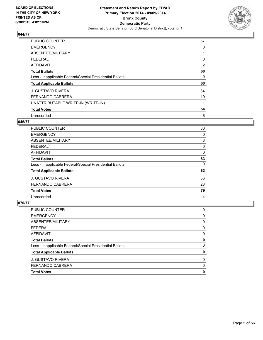

| <b>PUBLIC COUNTER</b>                                    | 57             |
|----------------------------------------------------------|----------------|
| <b>EMERGENCY</b>                                         | 0              |
| ABSENTEE/MILITARY                                        |                |
| <b>FEDERAL</b>                                           | 0              |
| <b>AFFIDAVIT</b>                                         | $\overline{2}$ |
| <b>Total Ballots</b>                                     | 60             |
| Less - Inapplicable Federal/Special Presidential Ballots | 0              |
| <b>Total Applicable Ballots</b>                          | 60             |
| <b>J. GUSTAVO RIVERA</b>                                 | 34             |
| <b>FERNANDO CABRERA</b>                                  | 19             |
| UNATTRIBUTABLE WRITE-IN (WRITE-IN)                       | 1              |
| <b>Total Votes</b>                                       | 54             |
| Unrecorded                                               | 6              |

#### **045/77**

| <b>PUBLIC COUNTER</b>                                    | 80 |
|----------------------------------------------------------|----|
| <b>EMERGENCY</b>                                         | 0  |
| ABSENTEE/MILITARY                                        | 3  |
| <b>FEDERAL</b>                                           | 0  |
| AFFIDAVIT                                                | 0  |
| <b>Total Ballots</b>                                     | 83 |
| Less - Inapplicable Federal/Special Presidential Ballots | 0  |
| <b>Total Applicable Ballots</b>                          | 83 |
| <b>J. GUSTAVO RIVERA</b>                                 | 56 |
| <b>FERNANDO CABRERA</b>                                  | 23 |
| <b>Total Votes</b>                                       | 79 |
| Unrecorded                                               | 4  |

| <b>Total Votes</b>                                       | 0 |
|----------------------------------------------------------|---|
| <b>FERNANDO CABRERA</b>                                  | 0 |
| <b>J. GUSTAVO RIVERA</b>                                 | 0 |
| <b>Total Applicable Ballots</b>                          | 0 |
| Less - Inapplicable Federal/Special Presidential Ballots | 0 |
| <b>Total Ballots</b>                                     | 0 |
| <b>AFFIDAVIT</b>                                         | 0 |
| <b>FEDERAL</b>                                           | 0 |
| ABSENTEE/MILITARY                                        | 0 |
| <b>EMERGENCY</b>                                         | 0 |
| PUBLIC COUNTER                                           | 0 |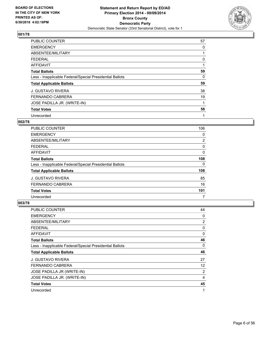

| PUBLIC COUNTER                                           | 57 |
|----------------------------------------------------------|----|
| <b>EMERGENCY</b>                                         | 0  |
| ABSENTEE/MILITARY                                        |    |
| <b>FEDERAL</b>                                           | 0  |
| <b>AFFIDAVIT</b>                                         |    |
| <b>Total Ballots</b>                                     | 59 |
| Less - Inapplicable Federal/Special Presidential Ballots | 0  |
| <b>Total Applicable Ballots</b>                          | 59 |
| <b>J. GUSTAVO RIVERA</b>                                 | 38 |
| <b>FERNANDO CABRERA</b>                                  | 19 |
| JOSE PADILLA JR. (WRITE-IN)                              |    |
| <b>Total Votes</b>                                       | 58 |
| Unrecorded                                               | 1  |

## **002/78**

| <b>PUBLIC COUNTER</b>                                    | 106            |
|----------------------------------------------------------|----------------|
| <b>EMERGENCY</b>                                         | 0              |
| ABSENTEE/MILITARY                                        | $\overline{2}$ |
| <b>FEDERAL</b>                                           | 0              |
| <b>AFFIDAVIT</b>                                         | 0              |
| <b>Total Ballots</b>                                     | 108            |
| Less - Inapplicable Federal/Special Presidential Ballots | 0              |
| <b>Total Applicable Ballots</b>                          | 108            |
| <b>J. GUSTAVO RIVERA</b>                                 | 85             |
| <b>FERNANDO CABRERA</b>                                  | 16             |
| <b>Total Votes</b>                                       | 101            |
| Unrecorded                                               | 7              |

| PUBLIC COUNTER                                           | 44 |
|----------------------------------------------------------|----|
| <b>EMERGENCY</b>                                         | 0  |
| ABSENTEE/MILITARY                                        | 2  |
| FEDERAL                                                  | 0  |
| AFFIDAVIT                                                | 0  |
| <b>Total Ballots</b>                                     | 46 |
| Less - Inapplicable Federal/Special Presidential Ballots | 0  |
| <b>Total Applicable Ballots</b>                          | 46 |
| <b>J. GUSTAVO RIVERA</b>                                 | 27 |
| <b>FERNANDO CABRERA</b>                                  | 12 |
| JOSE PADILLA JR (WRITE-IN)                               | 2  |
| JOSE PADILLA JR. (WRITE-IN)                              | 4  |
| <b>Total Votes</b>                                       | 45 |
| Unrecorded                                               | 1  |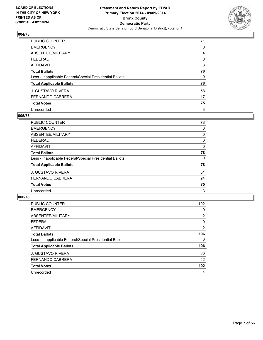

| PUBLIC COUNTER                                           | 71 |
|----------------------------------------------------------|----|
| <b>EMERGENCY</b>                                         | 0  |
| ABSENTEE/MILITARY                                        | 4  |
| <b>FEDERAL</b>                                           | 0  |
| <b>AFFIDAVIT</b>                                         | 3  |
| <b>Total Ballots</b>                                     | 78 |
| Less - Inapplicable Federal/Special Presidential Ballots | 0  |
| <b>Total Applicable Ballots</b>                          | 78 |
| <b>J. GUSTAVO RIVERA</b>                                 | 58 |
| <b>FERNANDO CABRERA</b>                                  | 17 |
| <b>Total Votes</b>                                       | 75 |
| Unrecorded                                               | 3  |

#### **005/78**

| PUBLIC COUNTER                                           | 78 |
|----------------------------------------------------------|----|
| <b>EMERGENCY</b>                                         | 0  |
| ABSENTEE/MILITARY                                        | 0  |
| <b>FEDERAL</b>                                           | 0  |
| <b>AFFIDAVIT</b>                                         | 0  |
| <b>Total Ballots</b>                                     | 78 |
| Less - Inapplicable Federal/Special Presidential Ballots | 0  |
| <b>Total Applicable Ballots</b>                          | 78 |
| <b>J. GUSTAVO RIVERA</b>                                 | 51 |
| <b>FERNANDO CABRERA</b>                                  | 24 |
| <b>Total Votes</b>                                       | 75 |
| Unrecorded                                               | 3  |

| PUBLIC COUNTER                                           | 102            |
|----------------------------------------------------------|----------------|
| <b>EMERGENCY</b>                                         | 0              |
| ABSENTEE/MILITARY                                        | $\overline{2}$ |
| <b>FEDERAL</b>                                           | 0              |
| <b>AFFIDAVIT</b>                                         | $\overline{2}$ |
| <b>Total Ballots</b>                                     | 106            |
| Less - Inapplicable Federal/Special Presidential Ballots | 0              |
| <b>Total Applicable Ballots</b>                          | 106            |
| <b>J. GUSTAVO RIVERA</b>                                 | 60             |
| <b>FERNANDO CABRERA</b>                                  | 42             |
| <b>Total Votes</b>                                       | 102            |
| Unrecorded                                               | 4              |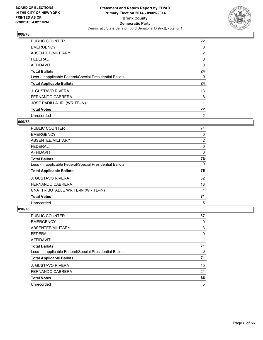

| <b>PUBLIC COUNTER</b>                                    | 22             |
|----------------------------------------------------------|----------------|
| <b>EMERGENCY</b>                                         | 0              |
| ABSENTEE/MILITARY                                        | $\overline{2}$ |
| <b>FEDERAL</b>                                           | 0              |
| <b>AFFIDAVIT</b>                                         | 0              |
| <b>Total Ballots</b>                                     | 24             |
| Less - Inapplicable Federal/Special Presidential Ballots | 0              |
| <b>Total Applicable Ballots</b>                          | 24             |
| <b>J. GUSTAVO RIVERA</b>                                 | 13             |
| <b>FERNANDO CABRERA</b>                                  | 8              |
| JOSE PADILLA JR. (WRITE-IN)                              |                |
| <b>Total Votes</b>                                       | 22             |
| Unrecorded                                               | 2              |

# **009/78**

| PUBLIC COUNTER                                           | 74             |
|----------------------------------------------------------|----------------|
| <b>EMERGENCY</b>                                         | 0              |
| ABSENTEE/MILITARY                                        | $\overline{2}$ |
| <b>FEDERAL</b>                                           | 0              |
| AFFIDAVIT                                                | 0              |
| <b>Total Ballots</b>                                     | 76             |
| Less - Inapplicable Federal/Special Presidential Ballots | 0              |
| <b>Total Applicable Ballots</b>                          | 76             |
| <b>J. GUSTAVO RIVERA</b>                                 | 52             |
| <b>FERNANDO CABRERA</b>                                  | 18             |
| UNATTRIBUTABLE WRITE-IN (WRITE-IN)                       |                |
| <b>Total Votes</b>                                       | 71             |
| Unrecorded                                               | 5              |

| PUBLIC COUNTER                                           | 67 |
|----------------------------------------------------------|----|
| <b>EMERGENCY</b>                                         | 0  |
| ABSENTEE/MILITARY                                        | 3  |
| FEDERAL                                                  | 0  |
| <b>AFFIDAVIT</b>                                         |    |
| <b>Total Ballots</b>                                     | 71 |
| Less - Inapplicable Federal/Special Presidential Ballots | 0  |
| <b>Total Applicable Ballots</b>                          | 71 |
| <b>J. GUSTAVO RIVERA</b>                                 | 45 |
| <b>FERNANDO CABRERA</b>                                  | 21 |
| <b>Total Votes</b>                                       | 66 |
| Unrecorded                                               | 5  |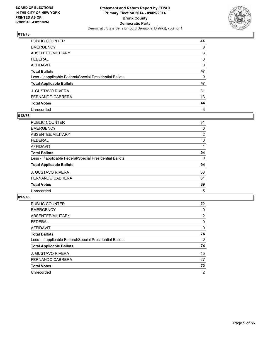

| PUBLIC COUNTER                                           | 44 |
|----------------------------------------------------------|----|
| <b>EMERGENCY</b>                                         | 0  |
| ABSENTEE/MILITARY                                        | 3  |
| <b>FEDERAL</b>                                           | 0  |
| <b>AFFIDAVIT</b>                                         | 0  |
| <b>Total Ballots</b>                                     | 47 |
| Less - Inapplicable Federal/Special Presidential Ballots | 0  |
| <b>Total Applicable Ballots</b>                          | 47 |
| <b>J. GUSTAVO RIVERA</b>                                 | 31 |
| <b>FERNANDO CABRERA</b>                                  | 13 |
| <b>Total Votes</b>                                       | 44 |
| Unrecorded                                               | 3  |

## **012/78**

| PUBLIC COUNTER                                           | 91 |
|----------------------------------------------------------|----|
| <b>EMERGENCY</b>                                         | 0  |
| ABSENTEE/MILITARY                                        | 2  |
| <b>FEDERAL</b>                                           | 0  |
| <b>AFFIDAVIT</b>                                         |    |
| <b>Total Ballots</b>                                     | 94 |
| Less - Inapplicable Federal/Special Presidential Ballots | 0  |
| <b>Total Applicable Ballots</b>                          | 94 |
| <b>J. GUSTAVO RIVERA</b>                                 | 58 |
| <b>FERNANDO CABRERA</b>                                  | 31 |
| <b>Total Votes</b>                                       | 89 |
| Unrecorded                                               | 5  |
|                                                          |    |

| PUBLIC COUNTER                                           | 72             |
|----------------------------------------------------------|----------------|
| <b>EMERGENCY</b>                                         | 0              |
| ABSENTEE/MILITARY                                        | 2              |
| <b>FEDERAL</b>                                           | 0              |
| <b>AFFIDAVIT</b>                                         | 0              |
| <b>Total Ballots</b>                                     | 74             |
| Less - Inapplicable Federal/Special Presidential Ballots | 0              |
| <b>Total Applicable Ballots</b>                          | 74             |
| <b>J. GUSTAVO RIVERA</b>                                 | 45             |
| <b>FERNANDO CABRERA</b>                                  | 27             |
| <b>Total Votes</b>                                       | 72             |
| Unrecorded                                               | $\overline{2}$ |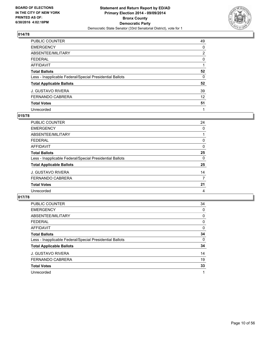

| PUBLIC COUNTER                                           | 49             |
|----------------------------------------------------------|----------------|
| <b>EMERGENCY</b>                                         | 0              |
| ABSENTEE/MILITARY                                        | $\overline{2}$ |
| <b>FEDERAL</b>                                           | 0              |
| <b>AFFIDAVIT</b>                                         |                |
| <b>Total Ballots</b>                                     | 52             |
| Less - Inapplicable Federal/Special Presidential Ballots | 0              |
| <b>Total Applicable Ballots</b>                          | 52             |
| <b>J. GUSTAVO RIVERA</b>                                 | 39             |
| <b>FERNANDO CABRERA</b>                                  | 12             |
| <b>Total Votes</b>                                       | 51             |
| Unrecorded                                               |                |

## **015/78**

| PUBLIC COUNTER                                           | 24 |
|----------------------------------------------------------|----|
| <b>EMERGENCY</b>                                         | 0  |
| ABSENTEE/MILITARY                                        |    |
| <b>FEDERAL</b>                                           | 0  |
| <b>AFFIDAVIT</b>                                         | 0  |
| <b>Total Ballots</b>                                     | 25 |
| Less - Inapplicable Federal/Special Presidential Ballots | 0  |
| <b>Total Applicable Ballots</b>                          | 25 |
| <b>J. GUSTAVO RIVERA</b>                                 | 14 |
| <b>FERNANDO CABRERA</b>                                  | 7  |
| <b>Total Votes</b>                                       | 21 |
| Unrecorded                                               | 4  |
|                                                          |    |

| <b>PUBLIC COUNTER</b>                                    | 34 |
|----------------------------------------------------------|----|
| <b>EMERGENCY</b>                                         | 0  |
| ABSENTEE/MILITARY                                        | 0  |
| <b>FEDERAL</b>                                           | 0  |
| <b>AFFIDAVIT</b>                                         | 0  |
| <b>Total Ballots</b>                                     | 34 |
| Less - Inapplicable Federal/Special Presidential Ballots | 0  |
| <b>Total Applicable Ballots</b>                          | 34 |
| <b>J. GUSTAVO RIVERA</b>                                 | 14 |
| FERNANDO CABRERA                                         | 19 |
| <b>Total Votes</b>                                       | 33 |
| Unrecorded                                               |    |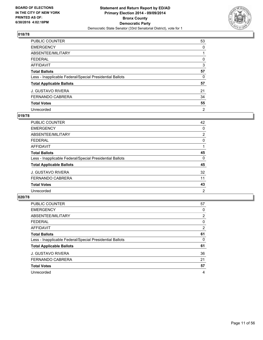

| <b>PUBLIC COUNTER</b>                                    | 53             |
|----------------------------------------------------------|----------------|
| <b>EMERGENCY</b>                                         | 0              |
| ABSENTEE/MILITARY                                        |                |
| <b>FEDERAL</b>                                           | 0              |
| <b>AFFIDAVIT</b>                                         | 3              |
| <b>Total Ballots</b>                                     | 57             |
| Less - Inapplicable Federal/Special Presidential Ballots | 0              |
| <b>Total Applicable Ballots</b>                          | 57             |
| <b>J. GUSTAVO RIVERA</b>                                 | 21             |
| <b>FERNANDO CABRERA</b>                                  | 34             |
| <b>Total Votes</b>                                       | 55             |
| Unrecorded                                               | $\overline{2}$ |

## **019/78**

| <b>PUBLIC COUNTER</b>                                    | 42             |
|----------------------------------------------------------|----------------|
| <b>EMERGENCY</b>                                         | 0              |
| ABSENTEE/MILITARY                                        | $\overline{2}$ |
| <b>FEDERAL</b>                                           | 0              |
| <b>AFFIDAVIT</b>                                         |                |
| <b>Total Ballots</b>                                     | 45             |
| Less - Inapplicable Federal/Special Presidential Ballots | 0              |
| <b>Total Applicable Ballots</b>                          | 45             |
| <b>J. GUSTAVO RIVERA</b>                                 | 32             |
| <b>FERNANDO CABRERA</b>                                  | 11             |
| <b>Total Votes</b>                                       | 43             |
| Unrecorded                                               | 2              |

| <b>PUBLIC COUNTER</b>                                    | 57             |
|----------------------------------------------------------|----------------|
| <b>EMERGENCY</b>                                         | 0              |
| ABSENTEE/MILITARY                                        | 2              |
| <b>FEDERAL</b>                                           | 0              |
| <b>AFFIDAVIT</b>                                         | $\overline{2}$ |
| <b>Total Ballots</b>                                     | 61             |
| Less - Inapplicable Federal/Special Presidential Ballots | 0              |
| <b>Total Applicable Ballots</b>                          | 61             |
| <b>J. GUSTAVO RIVERA</b>                                 | 36             |
| <b>FERNANDO CABRERA</b>                                  | 21             |
| <b>Total Votes</b>                                       | 57             |
| Unrecorded                                               | 4              |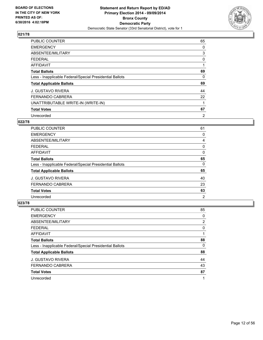

| <b>PUBLIC COUNTER</b>                                    | 65 |
|----------------------------------------------------------|----|
| <b>EMERGENCY</b>                                         | 0  |
| ABSENTEE/MILITARY                                        | 3  |
| <b>FEDERAL</b>                                           | 0  |
| <b>AFFIDAVIT</b>                                         |    |
| <b>Total Ballots</b>                                     | 69 |
| Less - Inapplicable Federal/Special Presidential Ballots | 0  |
| <b>Total Applicable Ballots</b>                          | 69 |
| <b>J. GUSTAVO RIVERA</b>                                 | 44 |
| <b>FERNANDO CABRERA</b>                                  | 22 |
| UNATTRIBUTABLE WRITE-IN (WRITE-IN)                       |    |
| <b>Total Votes</b>                                       | 67 |
| Unrecorded                                               | 2  |

# **022/78**

| <b>PUBLIC COUNTER</b>                                    | 61             |
|----------------------------------------------------------|----------------|
| <b>EMERGENCY</b>                                         | 0              |
| ABSENTEE/MILITARY                                        | 4              |
| <b>FEDERAL</b>                                           | 0              |
| AFFIDAVIT                                                | 0              |
| <b>Total Ballots</b>                                     | 65             |
| Less - Inapplicable Federal/Special Presidential Ballots | 0              |
| <b>Total Applicable Ballots</b>                          | 65             |
| <b>J. GUSTAVO RIVERA</b>                                 | 40             |
| <b>FERNANDO CABRERA</b>                                  | 23             |
| <b>Total Votes</b>                                       | 63             |
| Unrecorded                                               | $\overline{2}$ |

| PUBLIC COUNTER                                           | 85             |
|----------------------------------------------------------|----------------|
| <b>EMERGENCY</b>                                         | 0              |
| ABSENTEE/MILITARY                                        | $\overline{2}$ |
| <b>FEDERAL</b>                                           | 0              |
| AFFIDAVIT                                                |                |
| <b>Total Ballots</b>                                     | 88             |
| Less - Inapplicable Federal/Special Presidential Ballots | 0              |
| <b>Total Applicable Ballots</b>                          | 88             |
| <b>J. GUSTAVO RIVERA</b>                                 | 44             |
| FERNANDO CABRERA                                         | 43             |
| <b>Total Votes</b>                                       | 87             |
| Unrecorded                                               | 1              |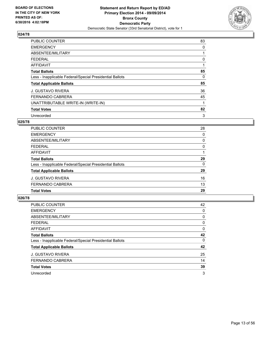

| <b>PUBLIC COUNTER</b>                                    | 83 |
|----------------------------------------------------------|----|
| <b>EMERGENCY</b>                                         | 0  |
| ABSENTEE/MILITARY                                        |    |
| <b>FEDERAL</b>                                           | 0  |
| <b>AFFIDAVIT</b>                                         |    |
| <b>Total Ballots</b>                                     | 85 |
| Less - Inapplicable Federal/Special Presidential Ballots | 0  |
| <b>Total Applicable Ballots</b>                          | 85 |
| <b>J. GUSTAVO RIVERA</b>                                 | 36 |
| <b>FERNANDO CABRERA</b>                                  | 45 |
| UNATTRIBUTABLE WRITE-IN (WRITE-IN)                       |    |
| <b>Total Votes</b>                                       | 82 |
| Unrecorded                                               | 3  |

# **025/78**

| PUBLIC COUNTER                                           | 28 |
|----------------------------------------------------------|----|
| <b>EMERGENCY</b>                                         | 0  |
| ABSENTEE/MILITARY                                        | 0  |
| <b>FEDERAL</b>                                           | 0  |
| AFFIDAVIT                                                |    |
| <b>Total Ballots</b>                                     | 29 |
| Less - Inapplicable Federal/Special Presidential Ballots | 0  |
| <b>Total Applicable Ballots</b>                          | 29 |
| <b>J. GUSTAVO RIVERA</b>                                 | 16 |
| <b>FERNANDO CABRERA</b>                                  | 13 |
| <b>Total Votes</b>                                       | 29 |

| <b>PUBLIC COUNTER</b>                                    | 42 |
|----------------------------------------------------------|----|
| <b>EMERGENCY</b>                                         | 0  |
| ABSENTEE/MILITARY                                        | 0  |
| <b>FEDERAL</b>                                           | 0  |
| AFFIDAVIT                                                | 0  |
| <b>Total Ballots</b>                                     | 42 |
| Less - Inapplicable Federal/Special Presidential Ballots | 0  |
| <b>Total Applicable Ballots</b>                          | 42 |
| <b>J. GUSTAVO RIVERA</b>                                 | 25 |
| <b>FERNANDO CABRERA</b>                                  | 14 |
| <b>Total Votes</b>                                       | 39 |
| Unrecorded                                               | 3  |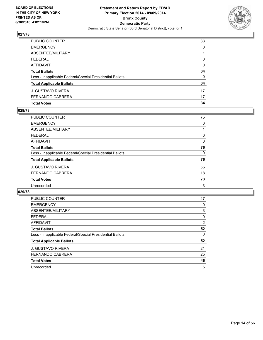

| <b>Total Votes</b>                                       | 34           |
|----------------------------------------------------------|--------------|
| FERNANDO CABRERA                                         | 17           |
| J. GUSTAVO RIVERA                                        | 17           |
| <b>Total Applicable Ballots</b>                          | 34           |
| Less - Inapplicable Federal/Special Presidential Ballots | $\Omega$     |
| <b>Total Ballots</b>                                     | 34           |
| AFFIDAVIT                                                | $\Omega$     |
| <b>FEDERAL</b>                                           | $\mathbf{0}$ |
| ABSENTEE/MILITARY                                        |              |
| <b>EMERGENCY</b>                                         | 0            |
| PUBLIC COUNTER                                           | 33           |

## **028/78**

| <b>PUBLIC COUNTER</b>                                    | 75 |
|----------------------------------------------------------|----|
| <b>EMERGENCY</b>                                         | 0  |
| ABSENTEE/MILITARY                                        |    |
| <b>FEDERAL</b>                                           | 0  |
| <b>AFFIDAVIT</b>                                         | 0  |
| <b>Total Ballots</b>                                     | 76 |
| Less - Inapplicable Federal/Special Presidential Ballots | 0  |
| <b>Total Applicable Ballots</b>                          | 76 |
| J. GUSTAVO RIVERA                                        | 55 |
| FERNANDO CABRERA                                         | 18 |
| <b>Total Votes</b>                                       | 73 |
| Unrecorded                                               | 3  |
|                                                          |    |

| <b>PUBLIC COUNTER</b>                                    | 47 |
|----------------------------------------------------------|----|
| <b>EMERGENCY</b>                                         | 0  |
| ABSENTEE/MILITARY                                        | 3  |
| <b>FEDERAL</b>                                           | 0  |
| AFFIDAVIT                                                | 2  |
| <b>Total Ballots</b>                                     | 52 |
| Less - Inapplicable Federal/Special Presidential Ballots | 0  |
| <b>Total Applicable Ballots</b>                          | 52 |
| <b>J. GUSTAVO RIVERA</b>                                 | 21 |
| <b>FERNANDO CABRERA</b>                                  | 25 |
| <b>Total Votes</b>                                       | 46 |
| Unrecorded                                               | 6  |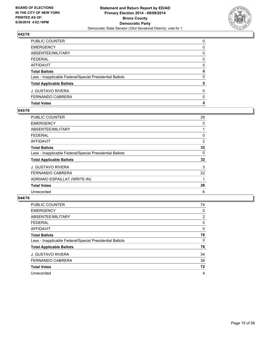

| PUBLIC COUNTER                                           | 0            |
|----------------------------------------------------------|--------------|
| EMERGENCY                                                | 0            |
| ABSENTEE/MILITARY                                        | 0            |
| FEDERAL                                                  | $\Omega$     |
| AFFIDAVIT                                                | 0            |
| Total Ballots                                            | 0            |
| Less - Inapplicable Federal/Special Presidential Ballots | $\mathbf{0}$ |
| <b>Total Applicable Ballots</b>                          | 0            |
| J. GUSTAVO RIVERA                                        | $\mathbf{0}$ |
| FERNANDO CABRERA                                         | 0            |
| <b>Total Votes</b>                                       | 0            |

## **043/78**

| PUBLIC COUNTER                                           | 29 |
|----------------------------------------------------------|----|
| <b>EMERGENCY</b>                                         | 0  |
| ABSENTEE/MILITARY                                        |    |
| <b>FEDERAL</b>                                           | 0  |
| AFFIDAVIT                                                | 2  |
| <b>Total Ballots</b>                                     | 32 |
| Less - Inapplicable Federal/Special Presidential Ballots | 0  |
| <b>Total Applicable Ballots</b>                          | 32 |
| <b>J. GUSTAVO RIVERA</b>                                 | 3  |
| <b>FERNANDO CABRERA</b>                                  | 22 |
| ADRIANO ESPAILLAT (WRITE-IN)                             |    |
| <b>Total Votes</b>                                       | 26 |
| Unrecorded                                               | 6  |
|                                                          |    |

| <b>PUBLIC COUNTER</b>                                    | 74             |
|----------------------------------------------------------|----------------|
| <b>EMERGENCY</b>                                         | 0              |
| ABSENTEE/MILITARY                                        | $\overline{2}$ |
| <b>FEDERAL</b>                                           | 0              |
| AFFIDAVIT                                                | 0              |
| <b>Total Ballots</b>                                     | 76             |
| Less - Inapplicable Federal/Special Presidential Ballots | 0              |
| <b>Total Applicable Ballots</b>                          | 76             |
| J. GUSTAVO RIVERA                                        | 34             |
| <b>FERNANDO CABRERA</b>                                  | 38             |
| <b>Total Votes</b>                                       | 72             |
| Unrecorded                                               | 4              |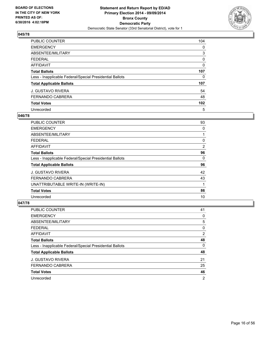

| PUBLIC COUNTER                                           | 104              |
|----------------------------------------------------------|------------------|
| <b>EMERGENCY</b>                                         | 0                |
| ABSENTEE/MILITARY                                        | 3                |
| <b>FEDERAL</b>                                           | 0                |
| <b>AFFIDAVIT</b>                                         | 0                |
| <b>Total Ballots</b>                                     | 107              |
| Less - Inapplicable Federal/Special Presidential Ballots | 0                |
| <b>Total Applicable Ballots</b>                          | 107              |
| J. GUSTAVO RIVERA                                        | 54               |
| <b>FERNANDO CABRERA</b>                                  | 48               |
| <b>Total Votes</b>                                       | 102 <sub>2</sub> |
| Unrecorded                                               | 5                |

## **046/78**

| PUBLIC COUNTER                                           | 93 |
|----------------------------------------------------------|----|
| <b>EMERGENCY</b>                                         | 0  |
| ABSENTEE/MILITARY                                        |    |
| <b>FEDERAL</b>                                           | 0  |
| AFFIDAVIT                                                | 2  |
| <b>Total Ballots</b>                                     | 96 |
| Less - Inapplicable Federal/Special Presidential Ballots | 0  |
| <b>Total Applicable Ballots</b>                          | 96 |
| <b>J. GUSTAVO RIVERA</b>                                 | 42 |
| FERNANDO CABRERA                                         | 43 |
| UNATTRIBUTABLE WRITE-IN (WRITE-IN)                       | 1  |
| <b>Total Votes</b>                                       | 86 |
| Unrecorded                                               | 10 |

| PUBLIC COUNTER                                           | 41             |
|----------------------------------------------------------|----------------|
| <b>EMERGENCY</b>                                         | 0              |
| ABSENTEE/MILITARY                                        | 5              |
| <b>FEDERAL</b>                                           | 0              |
| AFFIDAVIT                                                | 2              |
| <b>Total Ballots</b>                                     | 48             |
| Less - Inapplicable Federal/Special Presidential Ballots | 0              |
| <b>Total Applicable Ballots</b>                          | 48             |
| <b>J. GUSTAVO RIVERA</b>                                 | 21             |
| FERNANDO CABRERA                                         | 25             |
| <b>Total Votes</b>                                       | 46             |
| Unrecorded                                               | $\overline{2}$ |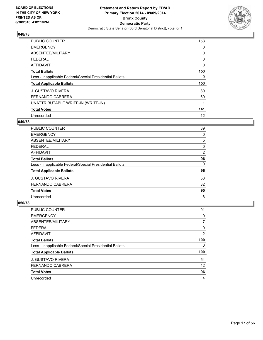

| <b>PUBLIC COUNTER</b>                                    | 153 |
|----------------------------------------------------------|-----|
| <b>EMERGENCY</b>                                         | 0   |
| ABSENTEE/MILITARY                                        | 0   |
| <b>FEDERAL</b>                                           | 0   |
| AFFIDAVIT                                                | 0   |
| <b>Total Ballots</b>                                     | 153 |
| Less - Inapplicable Federal/Special Presidential Ballots | 0   |
| <b>Total Applicable Ballots</b>                          | 153 |
| <b>J. GUSTAVO RIVERA</b>                                 | 80  |
| <b>FERNANDO CABRERA</b>                                  | 60  |
| UNATTRIBUTABLE WRITE-IN (WRITE-IN)                       |     |
| <b>Total Votes</b>                                       | 141 |
| Unrecorded                                               | 12  |

## **049/78**

| <b>PUBLIC COUNTER</b>                                    | 89             |
|----------------------------------------------------------|----------------|
| <b>EMERGENCY</b>                                         | 0              |
| ABSENTEE/MILITARY                                        | 5              |
| <b>FEDERAL</b>                                           | 0              |
| AFFIDAVIT                                                | $\overline{2}$ |
| <b>Total Ballots</b>                                     | 96             |
| Less - Inapplicable Federal/Special Presidential Ballots | 0              |
| <b>Total Applicable Ballots</b>                          | 96             |
| <b>J. GUSTAVO RIVERA</b>                                 | 58             |
| <b>FERNANDO CABRERA</b>                                  | 32             |
| <b>Total Votes</b>                                       | 90             |
| Unrecorded                                               | 6              |

| <b>PUBLIC COUNTER</b>                                    | 91             |
|----------------------------------------------------------|----------------|
| <b>EMERGENCY</b>                                         | 0              |
| ABSENTEE/MILITARY                                        | 7              |
| <b>FEDERAL</b>                                           | 0              |
| AFFIDAVIT                                                | $\overline{2}$ |
| <b>Total Ballots</b>                                     | 100            |
| Less - Inapplicable Federal/Special Presidential Ballots | 0              |
| <b>Total Applicable Ballots</b>                          | 100            |
| <b>J. GUSTAVO RIVERA</b>                                 | 54             |
| <b>FERNANDO CABRERA</b>                                  | 42             |
| <b>Total Votes</b>                                       | 96             |
| Unrecorded                                               | 4              |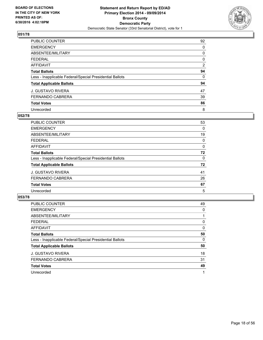

| <b>PUBLIC COUNTER</b>                                    | 92             |
|----------------------------------------------------------|----------------|
| <b>EMERGENCY</b>                                         | 0              |
| ABSENTEE/MILITARY                                        | 0              |
| <b>FEDERAL</b>                                           | 0              |
| <b>AFFIDAVIT</b>                                         | $\overline{2}$ |
| <b>Total Ballots</b>                                     | 94             |
| Less - Inapplicable Federal/Special Presidential Ballots | 0              |
| <b>Total Applicable Ballots</b>                          | 94             |
| <b>J. GUSTAVO RIVERA</b>                                 | 47             |
| <b>FERNANDO CABRERA</b>                                  | 39             |
| <b>Total Votes</b>                                       | 86             |
| Unrecorded                                               | 8              |

#### **052/78**

| <b>PUBLIC COUNTER</b>                                    | 53 |
|----------------------------------------------------------|----|
| <b>EMERGENCY</b>                                         | 0  |
| ABSENTEE/MILITARY                                        | 19 |
| <b>FEDERAL</b>                                           | 0  |
| <b>AFFIDAVIT</b>                                         | 0  |
| <b>Total Ballots</b>                                     | 72 |
| Less - Inapplicable Federal/Special Presidential Ballots | 0  |
| <b>Total Applicable Ballots</b>                          | 72 |
| <b>J. GUSTAVO RIVERA</b>                                 | 41 |
| <b>FERNANDO CABRERA</b>                                  | 26 |
| <b>Total Votes</b>                                       | 67 |
| Unrecorded                                               | 5  |

| PUBLIC COUNTER                                           | 49 |
|----------------------------------------------------------|----|
| <b>EMERGENCY</b>                                         | 0  |
| ABSENTEE/MILITARY                                        |    |
| <b>FEDERAL</b>                                           | 0  |
| AFFIDAVIT                                                | 0  |
| <b>Total Ballots</b>                                     | 50 |
| Less - Inapplicable Federal/Special Presidential Ballots | 0  |
| <b>Total Applicable Ballots</b>                          | 50 |
| <b>J. GUSTAVO RIVERA</b>                                 | 18 |
| FERNANDO CABRERA                                         | 31 |
| <b>Total Votes</b>                                       | 49 |
| Unrecorded                                               |    |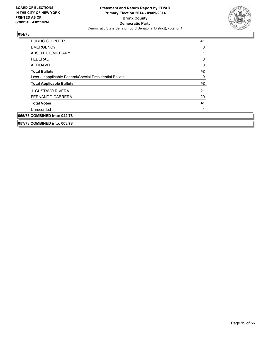

| <b>PUBLIC COUNTER</b>                                    | 41       |
|----------------------------------------------------------|----------|
| <b>EMERGENCY</b>                                         | 0        |
| ABSENTEE/MILITARY                                        |          |
| <b>FEDERAL</b>                                           | 0        |
| <b>AFFIDAVIT</b>                                         | $\Omega$ |
| <b>Total Ballots</b>                                     | 42       |
| Less - Inapplicable Federal/Special Presidential Ballots | 0        |
| <b>Total Applicable Ballots</b>                          | 42       |
| <b>J. GUSTAVO RIVERA</b>                                 | 21       |
| <b>FERNANDO CABRERA</b>                                  | 20       |
| <b>Total Votes</b>                                       | 41       |
| Unrecorded                                               |          |
| 055/78 COMBINED into: 042/78                             |          |
| 057/78 COMBINED into: 003/78                             |          |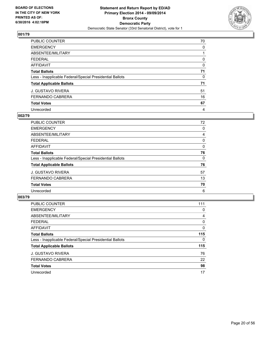

| <b>PUBLIC COUNTER</b>                                    | 70 |
|----------------------------------------------------------|----|
| <b>EMERGENCY</b>                                         | 0  |
| ABSENTEE/MILITARY                                        |    |
| <b>FEDERAL</b>                                           | 0  |
| <b>AFFIDAVIT</b>                                         | 0  |
| <b>Total Ballots</b>                                     | 71 |
| Less - Inapplicable Federal/Special Presidential Ballots | 0  |
| <b>Total Applicable Ballots</b>                          | 71 |
| <b>J. GUSTAVO RIVERA</b>                                 | 51 |
| <b>FERNANDO CABRERA</b>                                  | 16 |
| <b>Total Votes</b>                                       | 67 |
| Unrecorded                                               | 4  |

#### **002/79**

| <b>PUBLIC COUNTER</b>                                    | 72 |
|----------------------------------------------------------|----|
| <b>EMERGENCY</b>                                         | 0  |
| ABSENTEE/MILITARY                                        | 4  |
| <b>FEDERAL</b>                                           | 0  |
| <b>AFFIDAVIT</b>                                         | 0  |
| <b>Total Ballots</b>                                     | 76 |
| Less - Inapplicable Federal/Special Presidential Ballots | 0  |
| <b>Total Applicable Ballots</b>                          | 76 |
| <b>J. GUSTAVO RIVERA</b>                                 | 57 |
| <b>FERNANDO CABRERA</b>                                  | 13 |
| <b>Total Votes</b>                                       | 70 |
| Unrecorded                                               | 6  |

| <b>PUBLIC COUNTER</b>                                    | 111 |
|----------------------------------------------------------|-----|
| <b>EMERGENCY</b>                                         | 0   |
| ABSENTEE/MILITARY                                        | 4   |
| <b>FEDERAL</b>                                           | 0   |
| <b>AFFIDAVIT</b>                                         | 0   |
| <b>Total Ballots</b>                                     | 115 |
| Less - Inapplicable Federal/Special Presidential Ballots | 0   |
| <b>Total Applicable Ballots</b>                          | 115 |
| <b>J. GUSTAVO RIVERA</b>                                 | 76  |
| <b>FERNANDO CABRERA</b>                                  | 22  |
| <b>Total Votes</b>                                       | 98  |
| Unrecorded                                               | 17  |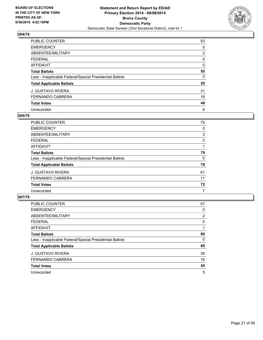

| <b>PUBLIC COUNTER</b>                                    | 53             |
|----------------------------------------------------------|----------------|
| <b>EMERGENCY</b>                                         | 0              |
| ABSENTEE/MILITARY                                        | $\overline{2}$ |
| <b>FEDERAL</b>                                           | 0              |
| <b>AFFIDAVIT</b>                                         | 0              |
| <b>Total Ballots</b>                                     | 55             |
| Less - Inapplicable Federal/Special Presidential Ballots | 0              |
| <b>Total Applicable Ballots</b>                          | 55             |
| <b>J. GUSTAVO RIVERA</b>                                 | 31             |
| <b>FERNANDO CABRERA</b>                                  | 18             |
| <b>Total Votes</b>                                       | 49             |
| Unrecorded                                               | 6              |

## **005/79**

| <b>PUBLIC COUNTER</b>                                    | 75 |
|----------------------------------------------------------|----|
| <b>EMERGENCY</b>                                         | 0  |
| ABSENTEE/MILITARY                                        | 3  |
| <b>FEDERAL</b>                                           | 0  |
| <b>AFFIDAVIT</b>                                         |    |
| <b>Total Ballots</b>                                     | 79 |
| Less - Inapplicable Federal/Special Presidential Ballots | 0  |
| <b>Total Applicable Ballots</b>                          | 79 |
| <b>J. GUSTAVO RIVERA</b>                                 | 61 |
| <b>FERNANDO CABRERA</b>                                  | 11 |
| <b>Total Votes</b>                                       | 72 |
| Unrecorded                                               | 7  |

| <b>PUBLIC COUNTER</b>                                    | 57             |
|----------------------------------------------------------|----------------|
| <b>EMERGENCY</b>                                         | 0              |
| ABSENTEE/MILITARY                                        | $\overline{2}$ |
| <b>FEDERAL</b>                                           | 0              |
| <b>AFFIDAVIT</b>                                         |                |
| <b>Total Ballots</b>                                     | 60             |
| Less - Inapplicable Federal/Special Presidential Ballots | 0              |
| <b>Total Applicable Ballots</b>                          | 60             |
| <b>J. GUSTAVO RIVERA</b>                                 | 39             |
| <b>FERNANDO CABRERA</b>                                  | 16             |
| <b>Total Votes</b>                                       | 55             |
| Unrecorded                                               | 5              |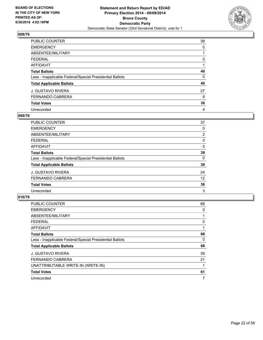

| PUBLIC COUNTER                                           | 38 |
|----------------------------------------------------------|----|
| <b>EMERGENCY</b>                                         | 0  |
| ABSENTEE/MILITARY                                        |    |
| <b>FEDERAL</b>                                           | 0  |
| AFFIDAVIT                                                |    |
| <b>Total Ballots</b>                                     | 40 |
| Less - Inapplicable Federal/Special Presidential Ballots | 0  |
| <b>Total Applicable Ballots</b>                          | 40 |
| <b>J. GUSTAVO RIVERA</b>                                 | 27 |
| <b>FERNANDO CABRERA</b>                                  | 9  |
| <b>Total Votes</b>                                       | 36 |
| Unrecorded                                               | 4  |

#### **009/79**

| <b>PUBLIC COUNTER</b>                                    | 37             |
|----------------------------------------------------------|----------------|
| <b>EMERGENCY</b>                                         | 0              |
| ABSENTEE/MILITARY                                        | $\overline{2}$ |
| <b>FEDERAL</b>                                           | 0              |
| <b>AFFIDAVIT</b>                                         | 0              |
| <b>Total Ballots</b>                                     | 39             |
| Less - Inapplicable Federal/Special Presidential Ballots | 0              |
| <b>Total Applicable Ballots</b>                          | 39             |
| <b>J. GUSTAVO RIVERA</b>                                 | 24             |
| <b>FERNANDO CABRERA</b>                                  | 12             |
| <b>Total Votes</b>                                       | 36             |
| Unrecorded                                               | 3              |

| <b>PUBLIC COUNTER</b>                                    | 66 |
|----------------------------------------------------------|----|
| <b>EMERGENCY</b>                                         | 0  |
| ABSENTEE/MILITARY                                        |    |
| <b>FEDERAL</b>                                           | 0  |
| <b>AFFIDAVIT</b>                                         |    |
| <b>Total Ballots</b>                                     | 68 |
| Less - Inapplicable Federal/Special Presidential Ballots | 0  |
| <b>Total Applicable Ballots</b>                          | 68 |
| <b>J. GUSTAVO RIVERA</b>                                 | 39 |
| <b>FERNANDO CABRERA</b>                                  | 21 |
| UNATTRIBUTABLE WRITE-IN (WRITE-IN)                       |    |
| <b>Total Votes</b>                                       | 61 |
| Unrecorded                                               | 7  |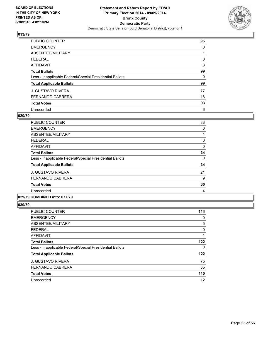

| <b>PUBLIC COUNTER</b>                                    | 95 |
|----------------------------------------------------------|----|
| <b>EMERGENCY</b>                                         | 0  |
| ABSENTEE/MILITARY                                        |    |
| <b>FEDERAL</b>                                           | 0  |
| <b>AFFIDAVIT</b>                                         | 3  |
| <b>Total Ballots</b>                                     | 99 |
| Less - Inapplicable Federal/Special Presidential Ballots | 0  |
| <b>Total Applicable Ballots</b>                          | 99 |
| <b>J. GUSTAVO RIVERA</b>                                 | 77 |
| <b>FERNANDO CABRERA</b>                                  | 16 |
| <b>Total Votes</b>                                       | 93 |
| Unrecorded                                               | 6  |

#### **020/79**

| <b>PUBLIC COUNTER</b>                                    | 33 |
|----------------------------------------------------------|----|
| <b>EMERGENCY</b>                                         | 0  |
| ABSENTEE/MILITARY                                        |    |
| <b>FEDERAL</b>                                           | 0  |
| AFFIDAVIT                                                | 0  |
| <b>Total Ballots</b>                                     | 34 |
| Less - Inapplicable Federal/Special Presidential Ballots | 0  |
| <b>Total Applicable Ballots</b>                          | 34 |
| <b>J. GUSTAVO RIVERA</b>                                 | 21 |
| <b>FERNANDO CABRERA</b>                                  | 9  |
| <b>Total Votes</b>                                       | 30 |
| Unrecorded                                               | 4  |
| A                                                        |    |

#### **029/79 COMBINED into: 077/79**

| <b>PUBLIC COUNTER</b>                                    | 116 |
|----------------------------------------------------------|-----|
| <b>EMERGENCY</b>                                         | 0   |
| ABSENTEE/MILITARY                                        | 5   |
| <b>FEDERAL</b>                                           | 0   |
| <b>AFFIDAVIT</b>                                         |     |
| <b>Total Ballots</b>                                     | 122 |
| Less - Inapplicable Federal/Special Presidential Ballots | 0   |
| <b>Total Applicable Ballots</b>                          | 122 |
| <b>J. GUSTAVO RIVERA</b>                                 | 75  |
| <b>FERNANDO CABRERA</b>                                  | 35  |
| <b>Total Votes</b>                                       | 110 |
| Unrecorded                                               | 12  |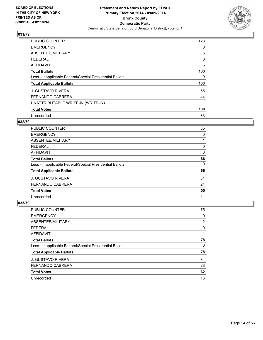

| <b>PUBLIC COUNTER</b>                                    | 123 |
|----------------------------------------------------------|-----|
| <b>EMERGENCY</b>                                         | 0   |
| ABSENTEE/MILITARY                                        | 5   |
| <b>FEDERAL</b>                                           | 0   |
| <b>AFFIDAVIT</b>                                         | 5   |
| <b>Total Ballots</b>                                     | 133 |
| Less - Inapplicable Federal/Special Presidential Ballots | 0   |
| <b>Total Applicable Ballots</b>                          | 133 |
| <b>J. GUSTAVO RIVERA</b>                                 | 55  |
| <b>FERNANDO CABRERA</b>                                  | 44  |
| UNATTRIBUTABLE WRITE-IN (WRITE-IN)                       |     |
| <b>Total Votes</b>                                       | 100 |
| Unrecorded                                               | 33  |

## **032/79**

| <b>PUBLIC COUNTER</b>                                    | 65 |
|----------------------------------------------------------|----|
| <b>EMERGENCY</b>                                         | 0  |
| ABSENTEE/MILITARY                                        |    |
| FEDERAL                                                  | 0  |
| AFFIDAVIT                                                | 0  |
| <b>Total Ballots</b>                                     | 66 |
| Less - Inapplicable Federal/Special Presidential Ballots | 0  |
| <b>Total Applicable Ballots</b>                          | 66 |
| <b>J. GUSTAVO RIVERA</b>                                 | 31 |
| <b>FERNANDO CABRERA</b>                                  | 24 |
| <b>Total Votes</b>                                       | 55 |
| Unrecorded                                               | 11 |

| PUBLIC COUNTER                                           | 75 |
|----------------------------------------------------------|----|
| <b>EMERGENCY</b>                                         | 0  |
| ABSENTEE/MILITARY                                        | 2  |
| <b>FEDERAL</b>                                           | 0  |
| AFFIDAVIT                                                |    |
| <b>Total Ballots</b>                                     | 78 |
| Less - Inapplicable Federal/Special Presidential Ballots | 0  |
| <b>Total Applicable Ballots</b>                          | 78 |
| <b>J. GUSTAVO RIVERA</b>                                 | 34 |
| FERNANDO CABRERA                                         | 28 |
| <b>Total Votes</b>                                       | 62 |
| Unrecorded                                               | 16 |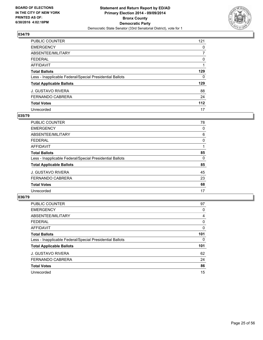

| PUBLIC COUNTER                                           | 121 |
|----------------------------------------------------------|-----|
| <b>EMERGENCY</b>                                         | 0   |
| ABSENTEE/MILITARY                                        | 7   |
| <b>FEDERAL</b>                                           | 0   |
| AFFIDAVIT                                                |     |
| <b>Total Ballots</b>                                     | 129 |
| Less - Inapplicable Federal/Special Presidential Ballots | 0   |
| <b>Total Applicable Ballots</b>                          | 129 |
| <b>J. GUSTAVO RIVERA</b>                                 | 88  |
| <b>FERNANDO CABRERA</b>                                  | 24  |
| <b>Total Votes</b>                                       | 112 |
| Unrecorded                                               | 17  |

#### **035/79**

| <b>PUBLIC COUNTER</b>                                    | 78 |
|----------------------------------------------------------|----|
| <b>EMERGENCY</b>                                         | 0  |
| ABSENTEE/MILITARY                                        | 6  |
| <b>FEDERAL</b>                                           | 0  |
| <b>AFFIDAVIT</b>                                         |    |
| <b>Total Ballots</b>                                     | 85 |
| Less - Inapplicable Federal/Special Presidential Ballots | 0  |
| <b>Total Applicable Ballots</b>                          | 85 |
| <b>J. GUSTAVO RIVERA</b>                                 | 45 |
| <b>FERNANDO CABRERA</b>                                  | 23 |
| <b>Total Votes</b>                                       | 68 |
| Unrecorded                                               | 17 |
|                                                          |    |

| <b>PUBLIC COUNTER</b>                                    | 97  |
|----------------------------------------------------------|-----|
| <b>EMERGENCY</b>                                         | 0   |
| ABSENTEE/MILITARY                                        | 4   |
| <b>FEDERAL</b>                                           | 0   |
| <b>AFFIDAVIT</b>                                         | 0   |
| <b>Total Ballots</b>                                     | 101 |
| Less - Inapplicable Federal/Special Presidential Ballots | 0   |
| <b>Total Applicable Ballots</b>                          | 101 |
| <b>J. GUSTAVO RIVERA</b>                                 | 62  |
| <b>FERNANDO CABRERA</b>                                  | 24  |
| <b>Total Votes</b>                                       | 86  |
| Unrecorded                                               | 15  |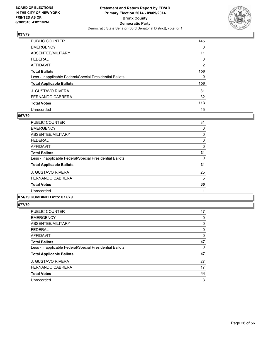

| PUBLIC COUNTER                                           | 145            |
|----------------------------------------------------------|----------------|
| <b>EMERGENCY</b>                                         | 0              |
| ABSENTEE/MILITARY                                        | 11             |
| <b>FEDERAL</b>                                           | 0              |
| AFFIDAVIT                                                | $\overline{2}$ |
| <b>Total Ballots</b>                                     | 158            |
| Less - Inapplicable Federal/Special Presidential Ballots | 0              |
| <b>Total Applicable Ballots</b>                          | 158            |
| <b>J. GUSTAVO RIVERA</b>                                 | 81             |
| <b>FERNANDO CABRERA</b>                                  | 32             |
| <b>Total Votes</b>                                       | 113            |
| Unrecorded                                               | 45             |

#### **067/79**

| <b>PUBLIC COUNTER</b>                                    | 31 |
|----------------------------------------------------------|----|
| <b>EMERGENCY</b>                                         | 0  |
| ABSENTEE/MILITARY                                        | 0  |
| FEDERAL                                                  | 0  |
| AFFIDAVIT                                                | 0  |
| <b>Total Ballots</b>                                     | 31 |
| Less - Inapplicable Federal/Special Presidential Ballots | 0  |
| <b>Total Applicable Ballots</b>                          | 31 |
| <b>J. GUSTAVO RIVERA</b>                                 | 25 |
| <b>FERNANDO CABRERA</b>                                  | 5  |
| <b>Total Votes</b>                                       | 30 |
| Unrecorded                                               |    |
|                                                          |    |

## **074/79 COMBINED into: 077/79**

| PUBLIC COUNTER                                           | 47 |
|----------------------------------------------------------|----|
| <b>EMERGENCY</b>                                         | 0  |
| ABSENTEE/MILITARY                                        | 0  |
| <b>FEDERAL</b>                                           | 0  |
| <b>AFFIDAVIT</b>                                         | 0  |
| <b>Total Ballots</b>                                     | 47 |
| Less - Inapplicable Federal/Special Presidential Ballots | 0  |
| <b>Total Applicable Ballots</b>                          | 47 |
| <b>J. GUSTAVO RIVERA</b>                                 | 27 |
| <b>FERNANDO CABRERA</b>                                  | 17 |
| <b>Total Votes</b>                                       | 44 |
| Unrecorded                                               | 3  |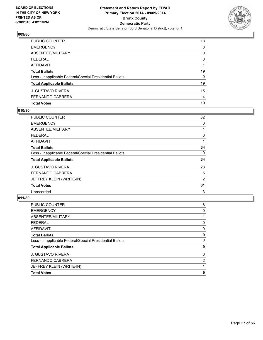

| <b>Total Votes</b>                                       | 19       |
|----------------------------------------------------------|----------|
| FERNANDO CABRERA                                         | 4        |
| J. GUSTAVO RIVERA                                        | 15       |
| <b>Total Applicable Ballots</b>                          | 19       |
| Less - Inapplicable Federal/Special Presidential Ballots | 0        |
| <b>Total Ballots</b>                                     | 19       |
| AFFIDAVIT                                                |          |
| FEDERAL                                                  | $\Omega$ |
| <b>ABSENTEE/MILITARY</b>                                 | 0        |
| <b>EMERGENCY</b>                                         | 0        |
| PUBLIC COUNTER                                           | 18       |

## **010/80**

| PUBLIC COUNTER                                           | 32 |
|----------------------------------------------------------|----|
| <b>EMERGENCY</b>                                         | 0  |
| ABSENTEE/MILITARY                                        |    |
| <b>FEDERAL</b>                                           | 0  |
| AFFIDAVIT                                                |    |
| <b>Total Ballots</b>                                     | 34 |
| Less - Inapplicable Federal/Special Presidential Ballots | 0  |
| <b>Total Applicable Ballots</b>                          | 34 |
| <b>J. GUSTAVO RIVERA</b>                                 | 23 |
| <b>FERNANDO CABRERA</b>                                  | 6  |
| JEFFREY KLEIN (WRITE-IN)                                 | 2  |
| <b>Total Votes</b>                                       | 31 |
| Unrecorded                                               | 3  |
|                                                          |    |

| PUBLIC COUNTER                                           | 8 |
|----------------------------------------------------------|---|
| <b>EMERGENCY</b>                                         | 0 |
| ABSENTEE/MILITARY                                        |   |
| <b>FEDERAL</b>                                           | 0 |
| <b>AFFIDAVIT</b>                                         | 0 |
| <b>Total Ballots</b>                                     | 9 |
| Less - Inapplicable Federal/Special Presidential Ballots | 0 |
| <b>Total Applicable Ballots</b>                          | 9 |
| <b>J. GUSTAVO RIVERA</b>                                 | 6 |
| <b>FERNANDO CABRERA</b>                                  | 2 |
| JEFFREY KLEIN (WRITE-IN)                                 |   |
| <b>Total Votes</b>                                       | 9 |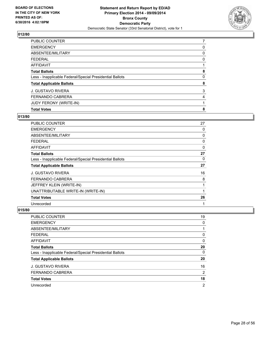

| PUBLIC COUNTER                                           | 7 |
|----------------------------------------------------------|---|
| <b>EMERGENCY</b>                                         | 0 |
| ABSENTEE/MILITARY                                        | 0 |
| <b>FEDERAL</b>                                           | 0 |
| <b>AFFIDAVIT</b>                                         |   |
| <b>Total Ballots</b>                                     | 8 |
| Less - Inapplicable Federal/Special Presidential Ballots | 0 |
| <b>Total Applicable Ballots</b>                          | 8 |
| <b>J. GUSTAVO RIVERA</b>                                 | 3 |
| <b>FERNANDO CABRERA</b>                                  | 4 |
| JUDY FERONY (WRITE-IN)                                   |   |
| <b>Total Votes</b>                                       | 8 |

## **013/80**

| PUBLIC COUNTER                                           | 27 |
|----------------------------------------------------------|----|
| <b>EMERGENCY</b>                                         | 0  |
| ABSENTEE/MILITARY                                        | 0  |
| <b>FEDERAL</b>                                           | 0  |
| AFFIDAVIT                                                | 0  |
| <b>Total Ballots</b>                                     | 27 |
| Less - Inapplicable Federal/Special Presidential Ballots | 0  |
| <b>Total Applicable Ballots</b>                          | 27 |
| <b>J. GUSTAVO RIVERA</b>                                 | 16 |
| FERNANDO CABRERA                                         | 8  |
| JEFFREY KLEIN (WRITE-IN)                                 | 1  |
| UNATTRIBUTABLE WRITE-IN (WRITE-IN)                       | 1  |
| <b>Total Votes</b>                                       | 26 |
| Unrecorded                                               | 1  |

| PUBLIC COUNTER                                           | 19             |
|----------------------------------------------------------|----------------|
| <b>EMERGENCY</b>                                         | 0              |
| ABSENTEE/MILITARY                                        |                |
| <b>FEDERAL</b>                                           | 0              |
| <b>AFFIDAVIT</b>                                         | 0              |
| <b>Total Ballots</b>                                     | 20             |
| Less - Inapplicable Federal/Special Presidential Ballots | 0              |
| <b>Total Applicable Ballots</b>                          | 20             |
| <b>J. GUSTAVO RIVERA</b>                                 | 16             |
| <b>FERNANDO CABRERA</b>                                  | 2              |
| <b>Total Votes</b>                                       | 18             |
| Unrecorded                                               | $\overline{2}$ |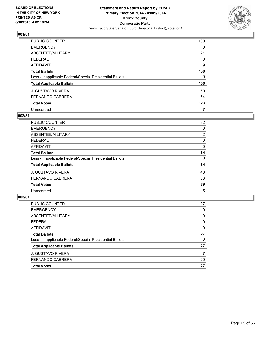

| PUBLIC COUNTER                                           | 100 |
|----------------------------------------------------------|-----|
| <b>EMERGENCY</b>                                         | 0   |
| ABSENTEE/MILITARY                                        | 21  |
| <b>FEDERAL</b>                                           | 0   |
| AFFIDAVIT                                                | 9   |
| <b>Total Ballots</b>                                     | 130 |
| Less - Inapplicable Federal/Special Presidential Ballots | 0   |
| <b>Total Applicable Ballots</b>                          | 130 |
| <b>J. GUSTAVO RIVERA</b>                                 | 69  |
| <b>FERNANDO CABRERA</b>                                  | 54  |
| <b>Total Votes</b>                                       | 123 |
| Unrecorded                                               | 7   |

#### **002/81**

| PUBLIC COUNTER                                           | 82             |
|----------------------------------------------------------|----------------|
| <b>EMERGENCY</b>                                         | 0              |
| ABSENTEE/MILITARY                                        | $\overline{2}$ |
| <b>FEDERAL</b>                                           | 0              |
| <b>AFFIDAVIT</b>                                         | 0              |
| <b>Total Ballots</b>                                     | 84             |
| Less - Inapplicable Federal/Special Presidential Ballots | 0              |
| <b>Total Applicable Ballots</b>                          | 84             |
| <b>J. GUSTAVO RIVERA</b>                                 | 46             |
| <b>FERNANDO CABRERA</b>                                  | 33             |
| <b>Total Votes</b>                                       | 79             |
| Unrecorded                                               | 5              |

| PUBLIC COUNTER                                           | 27 |
|----------------------------------------------------------|----|
| <b>EMERGENCY</b>                                         | 0  |
| ABSENTEE/MILITARY                                        | 0  |
| <b>FEDERAL</b>                                           | 0  |
| <b>AFFIDAVIT</b>                                         | 0  |
| <b>Total Ballots</b>                                     | 27 |
| Less - Inapplicable Federal/Special Presidential Ballots | 0  |
| <b>Total Applicable Ballots</b>                          | 27 |
| J. GUSTAVO RIVERA                                        | 7  |
| FERNANDO CABRERA                                         | 20 |
| <b>Total Votes</b>                                       | 27 |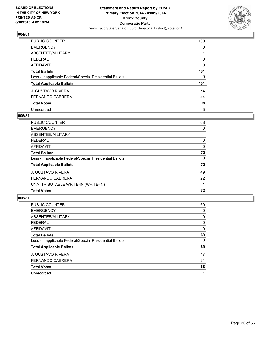

| PUBLIC COUNTER                                           | 100 |
|----------------------------------------------------------|-----|
| <b>EMERGENCY</b>                                         | 0   |
| ABSENTEE/MILITARY                                        |     |
| <b>FEDERAL</b>                                           | 0   |
| <b>AFFIDAVIT</b>                                         | 0   |
| <b>Total Ballots</b>                                     | 101 |
| Less - Inapplicable Federal/Special Presidential Ballots | 0   |
| <b>Total Applicable Ballots</b>                          | 101 |
| <b>J. GUSTAVO RIVERA</b>                                 | 54  |
| <b>FERNANDO CABRERA</b>                                  | 44  |
| <b>Total Votes</b>                                       | 98  |
| Unrecorded                                               | 3   |

#### **005/81**

| PUBLIC COUNTER                                           | 68       |
|----------------------------------------------------------|----------|
| <b>EMERGENCY</b>                                         | 0        |
| ABSENTEE/MILITARY                                        | 4        |
| <b>FEDERAL</b>                                           | 0        |
| <b>AFFIDAVIT</b>                                         | 0        |
| <b>Total Ballots</b>                                     | 72       |
| Less - Inapplicable Federal/Special Presidential Ballots | $\Omega$ |
| <b>Total Applicable Ballots</b>                          | 72       |
| <b>J. GUSTAVO RIVERA</b>                                 | 49       |
| FERNANDO CABRERA                                         | 22       |
| UNATTRIBUTABLE WRITE-IN (WRITE-IN)                       |          |
| <b>Total Votes</b>                                       | 72       |

| <b>PUBLIC COUNTER</b>                                    | 69 |
|----------------------------------------------------------|----|
| <b>EMERGENCY</b>                                         | 0  |
| ABSENTEE/MILITARY                                        | 0  |
| <b>FEDERAL</b>                                           | 0  |
| AFFIDAVIT                                                | 0  |
| <b>Total Ballots</b>                                     | 69 |
| Less - Inapplicable Federal/Special Presidential Ballots | 0  |
| <b>Total Applicable Ballots</b>                          | 69 |
| <b>J. GUSTAVO RIVERA</b>                                 | 47 |
| <b>FERNANDO CABRERA</b>                                  | 21 |
| <b>Total Votes</b>                                       | 68 |
| Unrecorded                                               | 1  |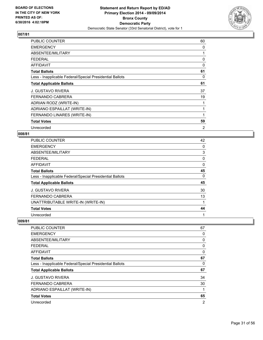

| <b>PUBLIC COUNTER</b>                                    | 60 |
|----------------------------------------------------------|----|
| <b>EMERGENCY</b>                                         | 0  |
| ABSENTEE/MILITARY                                        |    |
| <b>FEDERAL</b>                                           | 0  |
| AFFIDAVIT                                                | 0  |
| <b>Total Ballots</b>                                     | 61 |
| Less - Inapplicable Federal/Special Presidential Ballots | 0  |
| <b>Total Applicable Ballots</b>                          | 61 |
| J. GUSTAVO RIVERA                                        | 37 |
| <b>FERNANDO CABRERA</b>                                  | 19 |
| ADRIAN RODZ (WRITE-IN)                                   | 1  |
| ADRIANO ESPAILLAT (WRITE-IN)                             | 1  |
| FERNANDO LINARES (WRITE-IN)                              | 1  |
| <b>Total Votes</b>                                       | 59 |
| Unrecorded                                               | 2  |

## **008/81**

| <b>PUBLIC COUNTER</b>                                    | 42 |
|----------------------------------------------------------|----|
| <b>EMERGENCY</b>                                         | 0  |
| ABSENTEE/MILITARY                                        | 3  |
| <b>FEDERAL</b>                                           | 0  |
| <b>AFFIDAVIT</b>                                         | 0  |
| <b>Total Ballots</b>                                     | 45 |
| Less - Inapplicable Federal/Special Presidential Ballots | 0  |
| <b>Total Applicable Ballots</b>                          | 45 |
| <b>J. GUSTAVO RIVERA</b>                                 | 30 |
| <b>FERNANDO CABRERA</b>                                  | 13 |
| UNATTRIBUTABLE WRITE-IN (WRITE-IN)                       |    |
| <b>Total Votes</b>                                       | 44 |
| Unrecorded                                               | 1  |

| <b>PUBLIC COUNTER</b>                                    | 67             |
|----------------------------------------------------------|----------------|
| <b>EMERGENCY</b>                                         | 0              |
| ABSENTEE/MILITARY                                        | 0              |
| <b>FEDERAL</b>                                           | 0              |
| AFFIDAVIT                                                | 0              |
| <b>Total Ballots</b>                                     | 67             |
| Less - Inapplicable Federal/Special Presidential Ballots | 0              |
| <b>Total Applicable Ballots</b>                          | 67             |
| <b>J. GUSTAVO RIVERA</b>                                 | 34             |
| FERNANDO CABRERA                                         | 30             |
| ADRIANO ESPAILLAT (WRITE-IN)                             | 1              |
| <b>Total Votes</b>                                       | 65             |
| Unrecorded                                               | $\overline{2}$ |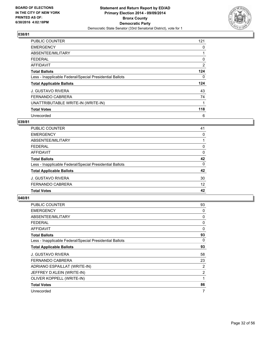

| <b>PUBLIC COUNTER</b>                                    | 121 |
|----------------------------------------------------------|-----|
| <b>EMERGENCY</b>                                         | 0   |
| ABSENTEE/MILITARY                                        |     |
| <b>FEDERAL</b>                                           | 0   |
| AFFIDAVIT                                                | 2   |
| <b>Total Ballots</b>                                     | 124 |
| Less - Inapplicable Federal/Special Presidential Ballots | 0   |
| <b>Total Applicable Ballots</b>                          | 124 |
| <b>J. GUSTAVO RIVERA</b>                                 | 43  |
| <b>FERNANDO CABRERA</b>                                  | 74  |
| UNATTRIBUTABLE WRITE-IN (WRITE-IN)                       |     |
| <b>Total Votes</b>                                       | 118 |
| Unrecorded                                               | 6   |

# **039/81**

| PUBLIC COUNTER                                           | 41 |
|----------------------------------------------------------|----|
| <b>EMERGENCY</b>                                         | 0  |
| ABSENTEE/MILITARY                                        |    |
| <b>FEDERAL</b>                                           | 0  |
| AFFIDAVIT                                                | 0  |
| <b>Total Ballots</b>                                     | 42 |
| Less - Inapplicable Federal/Special Presidential Ballots | 0  |
| <b>Total Applicable Ballots</b>                          | 42 |
| <b>J. GUSTAVO RIVERA</b>                                 | 30 |
| <b>FERNANDO CABRERA</b>                                  | 12 |
| <b>Total Votes</b>                                       | 42 |

| <b>PUBLIC COUNTER</b>                                    | 93             |
|----------------------------------------------------------|----------------|
| <b>EMERGENCY</b>                                         | 0              |
| ABSENTEE/MILITARY                                        | 0              |
| <b>FEDERAL</b>                                           | 0              |
| AFFIDAVIT                                                | $\Omega$       |
| <b>Total Ballots</b>                                     | 93             |
| Less - Inapplicable Federal/Special Presidential Ballots | 0              |
| <b>Total Applicable Ballots</b>                          | 93             |
| <b>J. GUSTAVO RIVERA</b>                                 | 58             |
| <b>FERNANDO CABRERA</b>                                  | 23             |
| ADRIANO ESPAILLAT (WRITE-IN)                             | 2              |
| JEFFREY D.KLEIN (WRITE-IN)                               | $\overline{2}$ |
| OLIVER KOPPELL (WRITE-IN)                                | 1              |
| <b>Total Votes</b>                                       | 86             |
| Unrecorded                                               | 7              |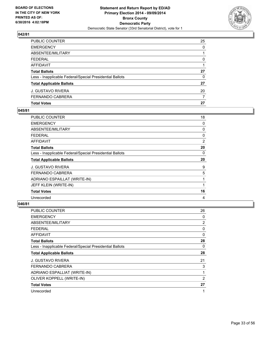

| PUBLIC COUNTER<br><b>EMERGENCY</b>                       | 25<br>$\Omega$ |
|----------------------------------------------------------|----------------|
|                                                          |                |
| ABSENTEE/MILITARY                                        |                |
| FEDERAL                                                  | 0              |
| AFFIDAVIT                                                |                |
| <b>Total Ballots</b>                                     | 27             |
| Less - Inapplicable Federal/Special Presidential Ballots | $\Omega$       |
| <b>Total Applicable Ballots</b>                          | 27             |
| J. GUSTAVO RIVERA                                        | 20             |
| FERNANDO CABRERA                                         | 7              |
| <b>Total Votes</b>                                       | 27             |

## **045/81**

| PUBLIC COUNTER                                           | 18 |
|----------------------------------------------------------|----|
| <b>EMERGENCY</b>                                         | 0  |
| ABSENTEE/MILITARY                                        | 0  |
| <b>FEDERAL</b>                                           | 0  |
| <b>AFFIDAVIT</b>                                         | 2  |
| <b>Total Ballots</b>                                     | 20 |
| Less - Inapplicable Federal/Special Presidential Ballots | 0  |
|                                                          |    |
| <b>Total Applicable Ballots</b>                          | 20 |
| <b>J. GUSTAVO RIVERA</b>                                 | 9  |
| <b>FERNANDO CABRERA</b>                                  | 5  |
| ADRIANO ESPAILLAT (WRITE-IN)                             | 1  |
| JEFF KLEIN (WRITE-IN)                                    |    |
| <b>Total Votes</b>                                       | 16 |

| <b>PUBLIC COUNTER</b>                                    | 26 |
|----------------------------------------------------------|----|
| <b>EMERGENCY</b>                                         | 0  |
| ABSENTEE/MILITARY                                        | 2  |
| <b>FEDERAL</b>                                           | 0  |
| AFFIDAVIT                                                | 0  |
| <b>Total Ballots</b>                                     | 28 |
| Less - Inapplicable Federal/Special Presidential Ballots | 0  |
| <b>Total Applicable Ballots</b>                          | 28 |
| <b>J. GUSTAVO RIVERA</b>                                 | 21 |
| <b>FERNANDO CABRERA</b>                                  | 3  |
| ADRIANO ESPALLIAT (WRITE-IN)                             | 1  |
| OLIVER KOPPELL (WRITE-IN)                                | 2  |
| <b>Total Votes</b>                                       | 27 |
| Unrecorded                                               | 1  |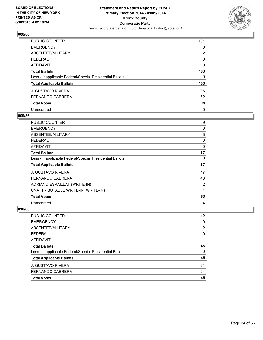

| PUBLIC COUNTER                                           | 101 |
|----------------------------------------------------------|-----|
| <b>EMERGENCY</b>                                         | 0   |
| ABSENTEE/MILITARY                                        | 2   |
| <b>FEDERAL</b>                                           | 0   |
| AFFIDAVIT                                                | 0   |
| <b>Total Ballots</b>                                     | 103 |
| Less - Inapplicable Federal/Special Presidential Ballots | 0   |
| <b>Total Applicable Ballots</b>                          | 103 |
| <b>J. GUSTAVO RIVERA</b>                                 | 36  |
| <b>FERNANDO CABRERA</b>                                  | 62  |
| <b>Total Votes</b>                                       | 98  |
| Unrecorded                                               | 5   |

#### **009/86**

| <b>PUBLIC COUNTER</b>                                    | 59 |
|----------------------------------------------------------|----|
| <b>EMERGENCY</b>                                         | 0  |
| ABSENTEE/MILITARY                                        | 8  |
| <b>FEDERAL</b>                                           | 0  |
| AFFIDAVIT                                                | 0  |
| <b>Total Ballots</b>                                     | 67 |
| Less - Inapplicable Federal/Special Presidential Ballots | 0  |
| <b>Total Applicable Ballots</b>                          | 67 |
| <b>J. GUSTAVO RIVERA</b>                                 | 17 |
| <b>FERNANDO CABRERA</b>                                  | 43 |
| ADRIANO ESPAILLAT (WRITE-IN)                             | 2  |
| UNATTRIBUTABLE WRITE-IN (WRITE-IN)                       | 1  |
| <b>Total Votes</b>                                       | 63 |
| Unrecorded                                               | 4  |

| <b>PUBLIC COUNTER</b>                                    | 42             |
|----------------------------------------------------------|----------------|
| <b>EMERGENCY</b>                                         | 0              |
| ABSENTEE/MILITARY                                        | $\overline{2}$ |
| <b>FEDERAL</b>                                           | 0              |
| <b>AFFIDAVIT</b>                                         |                |
| <b>Total Ballots</b>                                     | 45             |
| Less - Inapplicable Federal/Special Presidential Ballots | 0              |
| <b>Total Applicable Ballots</b>                          | 45             |
| <b>J. GUSTAVO RIVERA</b>                                 | 21             |
| <b>FERNANDO CABRERA</b>                                  | 24             |
| <b>Total Votes</b>                                       | 45             |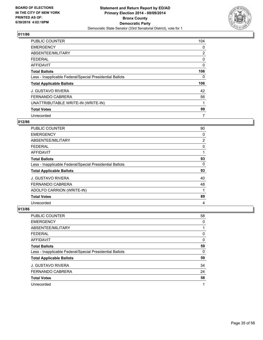

| <b>PUBLIC COUNTER</b>                                    | 104            |
|----------------------------------------------------------|----------------|
| <b>EMERGENCY</b>                                         | 0              |
| ABSENTEE/MILITARY                                        | $\overline{2}$ |
| <b>FEDERAL</b>                                           | 0              |
| <b>AFFIDAVIT</b>                                         | 0              |
| <b>Total Ballots</b>                                     | 106            |
| Less - Inapplicable Federal/Special Presidential Ballots | 0              |
| <b>Total Applicable Ballots</b>                          | 106            |
| <b>J. GUSTAVO RIVERA</b>                                 | 42             |
| <b>FERNANDO CABRERA</b>                                  | 56             |
| UNATTRIBUTABLE WRITE-IN (WRITE-IN)                       | 1              |
| <b>Total Votes</b>                                       | 99             |
| Unrecorded                                               | 7              |

# **012/86**

| <b>PUBLIC COUNTER</b>                                    | 90 |
|----------------------------------------------------------|----|
| <b>EMERGENCY</b>                                         | 0  |
| ABSENTEE/MILITARY                                        | 2  |
| FEDERAL                                                  | 0  |
| <b>AFFIDAVIT</b>                                         |    |
| <b>Total Ballots</b>                                     | 93 |
| Less - Inapplicable Federal/Special Presidential Ballots | 0  |
| <b>Total Applicable Ballots</b>                          | 93 |
| <b>J. GUSTAVO RIVERA</b>                                 | 40 |
| <b>FERNANDO CABRERA</b>                                  | 48 |
| ADOLFO CARRION (WRITE-IN)                                | 1  |
| <b>Total Votes</b>                                       | 89 |
| Unrecorded                                               | 4  |

| PUBLIC COUNTER                                           | 58 |
|----------------------------------------------------------|----|
| <b>EMERGENCY</b>                                         | 0  |
| ABSENTEE/MILITARY                                        |    |
| <b>FEDERAL</b>                                           | 0  |
| <b>AFFIDAVIT</b>                                         | 0  |
| <b>Total Ballots</b>                                     | 59 |
| Less - Inapplicable Federal/Special Presidential Ballots | 0  |
| <b>Total Applicable Ballots</b>                          | 59 |
| <b>J. GUSTAVO RIVERA</b>                                 | 34 |
| <b>FERNANDO CABRERA</b>                                  | 24 |
| <b>Total Votes</b>                                       | 58 |
| Unrecorded                                               | 1  |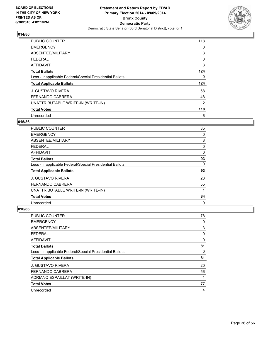

| <b>PUBLIC COUNTER</b>                                    | 118 |
|----------------------------------------------------------|-----|
| <b>EMERGENCY</b>                                         | 0   |
| ABSENTEE/MILITARY                                        | 3   |
| <b>FEDERAL</b>                                           | 0   |
| <b>AFFIDAVIT</b>                                         | 3   |
| <b>Total Ballots</b>                                     | 124 |
| Less - Inapplicable Federal/Special Presidential Ballots | 0   |
| <b>Total Applicable Ballots</b>                          | 124 |
| <b>J. GUSTAVO RIVERA</b>                                 | 68  |
| <b>FERNANDO CABRERA</b>                                  | 48  |
| UNATTRIBUTABLE WRITE-IN (WRITE-IN)                       | 2   |
| <b>Total Votes</b>                                       | 118 |
| Unrecorded                                               | 6   |

# **015/86**

| <b>PUBLIC COUNTER</b>                                    | 85 |
|----------------------------------------------------------|----|
| <b>EMERGENCY</b>                                         | 0  |
| ABSENTEE/MILITARY                                        | 8  |
| <b>FEDERAL</b>                                           | 0  |
| <b>AFFIDAVIT</b>                                         | 0  |
| <b>Total Ballots</b>                                     | 93 |
| Less - Inapplicable Federal/Special Presidential Ballots | 0  |
| <b>Total Applicable Ballots</b>                          | 93 |
| <b>J. GUSTAVO RIVERA</b>                                 | 28 |
| <b>FERNANDO CABRERA</b>                                  | 55 |
| UNATTRIBUTABLE WRITE-IN (WRITE-IN)                       | 1  |
| <b>Total Votes</b>                                       | 84 |
| Unrecorded                                               | 9  |

| PUBLIC COUNTER                                           | 78 |
|----------------------------------------------------------|----|
| <b>EMERGENCY</b>                                         | 0  |
| ABSENTEE/MILITARY                                        | 3  |
| <b>FEDERAL</b>                                           | 0  |
| AFFIDAVIT                                                | 0  |
| <b>Total Ballots</b>                                     | 81 |
| Less - Inapplicable Federal/Special Presidential Ballots | 0  |
| <b>Total Applicable Ballots</b>                          | 81 |
| J. GUSTAVO RIVERA                                        | 20 |
| <b>FERNANDO CABRERA</b>                                  | 56 |
| ADRIANO ESPAILLAT (WRITE-IN)                             | 1  |
| <b>Total Votes</b>                                       | 77 |
| Unrecorded                                               | 4  |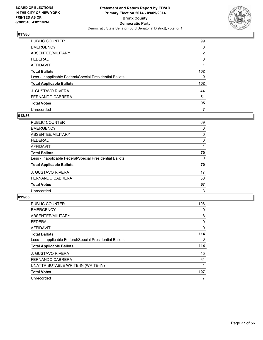

| PUBLIC COUNTER                                           | 99               |
|----------------------------------------------------------|------------------|
| <b>EMERGENCY</b>                                         | 0                |
| ABSENTEE/MILITARY                                        | $\overline{2}$   |
| <b>FEDERAL</b>                                           | 0                |
| AFFIDAVIT                                                |                  |
| <b>Total Ballots</b>                                     | 102 <sub>2</sub> |
| Less - Inapplicable Federal/Special Presidential Ballots | 0                |
| <b>Total Applicable Ballots</b>                          | 102 <sub>2</sub> |
| <b>J. GUSTAVO RIVERA</b>                                 | 44               |
| <b>FERNANDO CABRERA</b>                                  | 51               |
| <b>Total Votes</b>                                       | 95               |
| Unrecorded                                               | 7                |

#### **018/86**

| PUBLIC COUNTER                                           | 69 |
|----------------------------------------------------------|----|
| <b>EMERGENCY</b>                                         | 0  |
| ABSENTEE/MILITARY                                        | 0  |
| <b>FEDERAL</b>                                           | 0  |
| <b>AFFIDAVIT</b>                                         |    |
| <b>Total Ballots</b>                                     | 70 |
| Less - Inapplicable Federal/Special Presidential Ballots | 0  |
| <b>Total Applicable Ballots</b>                          | 70 |
| <b>J. GUSTAVO RIVERA</b>                                 | 17 |
| <b>FERNANDO CABRERA</b>                                  | 50 |
| <b>Total Votes</b>                                       | 67 |
| Unrecorded                                               | 3  |

| <b>PUBLIC COUNTER</b>                                    | 106 |
|----------------------------------------------------------|-----|
| <b>EMERGENCY</b>                                         | 0   |
| ABSENTEE/MILITARY                                        | 8   |
| FEDERAL                                                  | 0   |
| AFFIDAVIT                                                | 0   |
| <b>Total Ballots</b>                                     | 114 |
| Less - Inapplicable Federal/Special Presidential Ballots | 0   |
| <b>Total Applicable Ballots</b>                          | 114 |
| <b>J. GUSTAVO RIVERA</b>                                 | 45  |
| <b>FERNANDO CABRERA</b>                                  | 61  |
| UNATTRIBUTABLE WRITE-IN (WRITE-IN)                       |     |
| <b>Total Votes</b>                                       | 107 |
| Unrecorded                                               | 7   |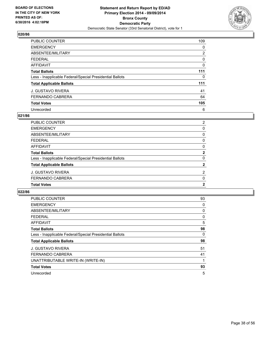

| <b>PUBLIC COUNTER</b>                                    | 109 |
|----------------------------------------------------------|-----|
| <b>EMERGENCY</b>                                         | 0   |
| ABSENTEE/MILITARY                                        | 2   |
| <b>FEDERAL</b>                                           | 0   |
| AFFIDAVIT                                                | 0   |
| <b>Total Ballots</b>                                     | 111 |
| Less - Inapplicable Federal/Special Presidential Ballots | 0   |
| <b>Total Applicable Ballots</b>                          | 111 |
| <b>J. GUSTAVO RIVERA</b>                                 | 41  |
| <b>FERNANDO CABRERA</b>                                  | 64  |
| <b>Total Votes</b>                                       | 105 |
| Unrecorded                                               | 6   |

#### **021/86**

| <b>PUBLIC COUNTER</b>                                    | $\overline{2}$ |
|----------------------------------------------------------|----------------|
| <b>EMERGENCY</b>                                         | 0              |
| <b>ABSENTEE/MILITARY</b>                                 | 0              |
| <b>FEDERAL</b>                                           | 0              |
| AFFIDAVIT                                                | 0              |
| <b>Total Ballots</b>                                     | $\mathbf{2}$   |
| Less - Inapplicable Federal/Special Presidential Ballots | $\Omega$       |
| <b>Total Applicable Ballots</b>                          | $\mathbf{2}$   |
| J. GUSTAVO RIVERA                                        | $\overline{2}$ |
| FERNANDO CABRERA                                         | $\Omega$       |
| <b>Total Votes</b>                                       | $\mathbf{2}$   |
|                                                          |                |

| PUBLIC COUNTER                                           | 93 |
|----------------------------------------------------------|----|
| <b>EMERGENCY</b>                                         | 0  |
| ABSENTEE/MILITARY                                        | 0  |
| <b>FEDERAL</b>                                           | 0  |
| AFFIDAVIT                                                | 5  |
| <b>Total Ballots</b>                                     | 98 |
| Less - Inapplicable Federal/Special Presidential Ballots | 0  |
| <b>Total Applicable Ballots</b>                          | 98 |
| <b>J. GUSTAVO RIVERA</b>                                 | 51 |
| <b>FERNANDO CABRERA</b>                                  | 41 |
| UNATTRIBUTABLE WRITE-IN (WRITE-IN)                       | 1  |
| <b>Total Votes</b>                                       | 93 |
| Unrecorded                                               | 5  |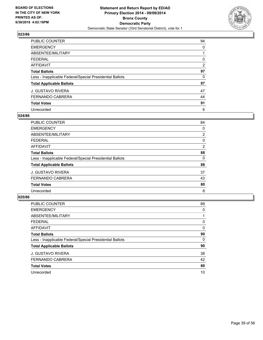

| <b>PUBLIC COUNTER</b>                                    | 94             |
|----------------------------------------------------------|----------------|
| <b>EMERGENCY</b>                                         | 0              |
| ABSENTEE/MILITARY                                        |                |
| <b>FEDERAL</b>                                           | 0              |
| AFFIDAVIT                                                | $\overline{2}$ |
| <b>Total Ballots</b>                                     | 97             |
| Less - Inapplicable Federal/Special Presidential Ballots | 0              |
| <b>Total Applicable Ballots</b>                          | 97             |
| <b>J. GUSTAVO RIVERA</b>                                 | 47             |
| <b>FERNANDO CABRERA</b>                                  | 44             |
| <b>Total Votes</b>                                       | 91             |
| Unrecorded                                               | 6              |

#### **024/86**

| <b>PUBLIC COUNTER</b>                                    | 84             |
|----------------------------------------------------------|----------------|
| <b>EMERGENCY</b>                                         | 0              |
| ABSENTEE/MILITARY                                        | $\overline{2}$ |
| <b>FEDERAL</b>                                           | 0              |
| <b>AFFIDAVIT</b>                                         | $\overline{2}$ |
| <b>Total Ballots</b>                                     | 88             |
| Less - Inapplicable Federal/Special Presidential Ballots | 0              |
| <b>Total Applicable Ballots</b>                          | 88             |
| <b>J. GUSTAVO RIVERA</b>                                 | 37             |
| <b>FERNANDO CABRERA</b>                                  | 43             |
| <b>Total Votes</b>                                       | 80             |
| Unrecorded                                               | 8              |

| PUBLIC COUNTER                                           | 89 |
|----------------------------------------------------------|----|
| <b>EMERGENCY</b>                                         | 0  |
| ABSENTEE/MILITARY                                        |    |
| <b>FEDERAL</b>                                           | 0  |
| <b>AFFIDAVIT</b>                                         | 0  |
| <b>Total Ballots</b>                                     | 90 |
| Less - Inapplicable Federal/Special Presidential Ballots | 0  |
| <b>Total Applicable Ballots</b>                          | 90 |
| <b>J. GUSTAVO RIVERA</b>                                 | 38 |
| <b>FERNANDO CABRERA</b>                                  | 42 |
| <b>Total Votes</b>                                       | 80 |
| Unrecorded                                               | 10 |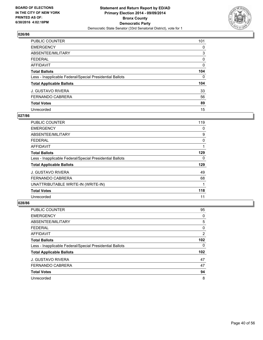

| <b>PUBLIC COUNTER</b>                                    | 101 |
|----------------------------------------------------------|-----|
| <b>EMERGENCY</b>                                         | 0   |
| ABSENTEE/MILITARY                                        | 3   |
| <b>FEDERAL</b>                                           | 0   |
| AFFIDAVIT                                                | 0   |
| <b>Total Ballots</b>                                     | 104 |
| Less - Inapplicable Federal/Special Presidential Ballots | 0   |
| <b>Total Applicable Ballots</b>                          | 104 |
| <b>J. GUSTAVO RIVERA</b>                                 | 33  |
| <b>FERNANDO CABRERA</b>                                  | 56  |
| <b>Total Votes</b>                                       | 89  |
| Unrecorded                                               | 15  |

#### **027/86**

| <b>PUBLIC COUNTER</b>                                    | 119 |
|----------------------------------------------------------|-----|
| <b>EMERGENCY</b>                                         | 0   |
| ABSENTEE/MILITARY                                        | 9   |
| <b>FEDERAL</b>                                           | 0   |
| AFFIDAVIT                                                |     |
| <b>Total Ballots</b>                                     | 129 |
| Less - Inapplicable Federal/Special Presidential Ballots | 0   |
| <b>Total Applicable Ballots</b>                          | 129 |
| <b>J. GUSTAVO RIVERA</b>                                 | 49  |
| <b>FERNANDO CABRERA</b>                                  | 68  |
| UNATTRIBUTABLE WRITE-IN (WRITE-IN)                       | 1   |
| <b>Total Votes</b>                                       | 118 |
| Unrecorded                                               | 11  |

| <b>PUBLIC COUNTER</b>                                    | 95               |
|----------------------------------------------------------|------------------|
| <b>EMERGENCY</b>                                         | 0                |
| ABSENTEE/MILITARY                                        | 5                |
| <b>FEDERAL</b>                                           | 0                |
| AFFIDAVIT                                                | $\overline{2}$   |
| <b>Total Ballots</b>                                     | 102 <sub>2</sub> |
| Less - Inapplicable Federal/Special Presidential Ballots | 0                |
| <b>Total Applicable Ballots</b>                          | 102              |
| <b>J. GUSTAVO RIVERA</b>                                 | 47               |
| <b>FERNANDO CABRERA</b>                                  | 47               |
| <b>Total Votes</b>                                       | 94               |
| Unrecorded                                               | 8                |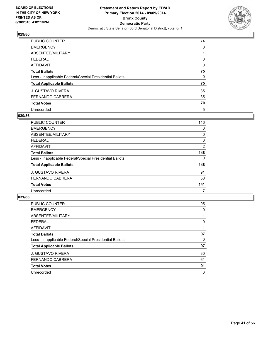

| PUBLIC COUNTER                                           | 74 |
|----------------------------------------------------------|----|
| <b>EMERGENCY</b>                                         | 0  |
| ABSENTEE/MILITARY                                        |    |
| <b>FEDERAL</b>                                           | 0  |
| AFFIDAVIT                                                | 0  |
| <b>Total Ballots</b>                                     | 75 |
| Less - Inapplicable Federal/Special Presidential Ballots | 0  |
| <b>Total Applicable Ballots</b>                          | 75 |
| <b>J. GUSTAVO RIVERA</b>                                 | 35 |
| <b>FERNANDO CABRERA</b>                                  | 35 |
| <b>Total Votes</b>                                       | 70 |
| Unrecorded                                               | 5  |

#### **030/86**

| PUBLIC COUNTER                                           | 146            |
|----------------------------------------------------------|----------------|
| <b>EMERGENCY</b>                                         | 0              |
| ABSENTEE/MILITARY                                        | 0              |
| <b>FEDERAL</b>                                           | 0              |
| AFFIDAVIT                                                | $\overline{2}$ |
| <b>Total Ballots</b>                                     | 148            |
| Less - Inapplicable Federal/Special Presidential Ballots | 0              |
| <b>Total Applicable Ballots</b>                          | 148            |
| <b>J. GUSTAVO RIVERA</b>                                 | 91             |
| <b>FERNANDO CABRERA</b>                                  | 50             |
| <b>Total Votes</b>                                       | 141            |
| Unrecorded                                               | 7              |

| PUBLIC COUNTER                                           | 95 |
|----------------------------------------------------------|----|
| <b>EMERGENCY</b>                                         | 0  |
| ABSENTEE/MILITARY                                        |    |
| <b>FEDERAL</b>                                           | 0  |
| <b>AFFIDAVIT</b>                                         |    |
| <b>Total Ballots</b>                                     | 97 |
| Less - Inapplicable Federal/Special Presidential Ballots | 0  |
| <b>Total Applicable Ballots</b>                          | 97 |
| <b>J. GUSTAVO RIVERA</b>                                 | 30 |
| <b>FERNANDO CABRERA</b>                                  | 61 |
| <b>Total Votes</b>                                       | 91 |
| Unrecorded                                               | 6  |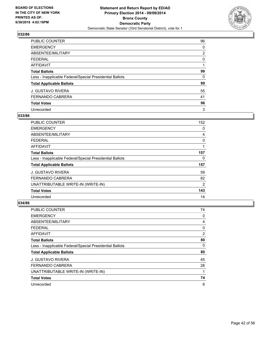

| PUBLIC COUNTER                                           | 96 |
|----------------------------------------------------------|----|
| <b>EMERGENCY</b>                                         | 0  |
| ABSENTEE/MILITARY                                        | 2  |
| <b>FEDERAL</b>                                           | 0  |
| AFFIDAVIT                                                |    |
| <b>Total Ballots</b>                                     | 99 |
| Less - Inapplicable Federal/Special Presidential Ballots | 0  |
| <b>Total Applicable Ballots</b>                          | 99 |
| <b>J. GUSTAVO RIVERA</b>                                 | 55 |
| <b>FERNANDO CABRERA</b>                                  | 41 |
| <b>Total Votes</b>                                       | 96 |
| Unrecorded                                               | 3  |

#### **033/86**

| <b>PUBLIC COUNTER</b>                                    | 152 |
|----------------------------------------------------------|-----|
| <b>EMERGENCY</b>                                         | 0   |
| ABSENTEE/MILITARY                                        | 4   |
| <b>FEDERAL</b>                                           | 0   |
| AFFIDAVIT                                                |     |
| <b>Total Ballots</b>                                     | 157 |
| Less - Inapplicable Federal/Special Presidential Ballots | 0   |
| <b>Total Applicable Ballots</b>                          | 157 |
| <b>J. GUSTAVO RIVERA</b>                                 | 59  |
| <b>FERNANDO CABRERA</b>                                  | 82  |
| UNATTRIBUTABLE WRITE-IN (WRITE-IN)                       | 2   |
| <b>Total Votes</b>                                       | 143 |
| Unrecorded                                               | 14  |

| <b>PUBLIC COUNTER</b>                                    | 74 |
|----------------------------------------------------------|----|
| <b>EMERGENCY</b>                                         | 0  |
| ABSENTEE/MILITARY                                        | 4  |
| <b>FEDERAL</b>                                           | 0  |
| AFFIDAVIT                                                | 2  |
| <b>Total Ballots</b>                                     | 80 |
| Less - Inapplicable Federal/Special Presidential Ballots | 0  |
| <b>Total Applicable Ballots</b>                          | 80 |
| <b>J. GUSTAVO RIVERA</b>                                 | 45 |
| <b>FERNANDO CABRERA</b>                                  | 28 |
| UNATTRIBUTABLE WRITE-IN (WRITE-IN)                       |    |
| <b>Total Votes</b>                                       | 74 |
| Unrecorded                                               | 6  |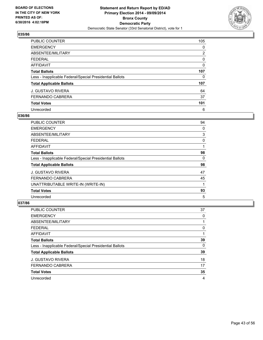

| <b>PUBLIC COUNTER</b>                                    | 105            |
|----------------------------------------------------------|----------------|
| <b>EMERGENCY</b>                                         | 0              |
| ABSENTEE/MILITARY                                        | $\overline{2}$ |
| <b>FEDERAL</b>                                           | 0              |
| AFFIDAVIT                                                | 0              |
| <b>Total Ballots</b>                                     | 107            |
| Less - Inapplicable Federal/Special Presidential Ballots | 0              |
| <b>Total Applicable Ballots</b>                          | 107            |
| <b>J. GUSTAVO RIVERA</b>                                 | 64             |
| <b>FERNANDO CABRERA</b>                                  | 37             |
| <b>Total Votes</b>                                       | 101            |
| Unrecorded                                               | 6              |

#### **036/86**

| <b>PUBLIC COUNTER</b>                                    | 94 |
|----------------------------------------------------------|----|
| <b>EMERGENCY</b>                                         | 0  |
| ABSENTEE/MILITARY                                        | 3  |
| <b>FEDERAL</b>                                           | 0  |
| AFFIDAVIT                                                |    |
| <b>Total Ballots</b>                                     | 98 |
| Less - Inapplicable Federal/Special Presidential Ballots | 0  |
| <b>Total Applicable Ballots</b>                          | 98 |
| <b>J. GUSTAVO RIVERA</b>                                 | 47 |
| <b>FERNANDO CABRERA</b>                                  | 45 |
| UNATTRIBUTABLE WRITE-IN (WRITE-IN)                       |    |
| <b>Total Votes</b>                                       | 93 |
| Unrecorded                                               | 5  |

| PUBLIC COUNTER                                           | 37 |
|----------------------------------------------------------|----|
| <b>EMERGENCY</b>                                         | 0  |
| ABSENTEE/MILITARY                                        |    |
| <b>FEDERAL</b>                                           | 0  |
| AFFIDAVIT                                                |    |
| <b>Total Ballots</b>                                     | 39 |
| Less - Inapplicable Federal/Special Presidential Ballots | 0  |
| <b>Total Applicable Ballots</b>                          | 39 |
| <b>J. GUSTAVO RIVERA</b>                                 | 18 |
| FERNANDO CABRERA                                         | 17 |
| <b>Total Votes</b>                                       | 35 |
| Unrecorded                                               | 4  |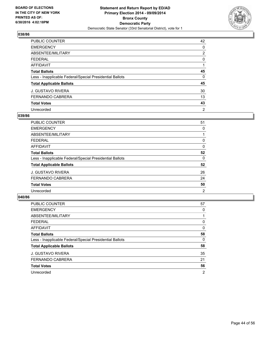

| PUBLIC COUNTER                                           | 42             |
|----------------------------------------------------------|----------------|
| <b>EMERGENCY</b>                                         | 0              |
| ABSENTEE/MILITARY                                        | 2              |
| <b>FEDERAL</b>                                           | 0              |
| AFFIDAVIT                                                |                |
| <b>Total Ballots</b>                                     | 45             |
| Less - Inapplicable Federal/Special Presidential Ballots | 0              |
| <b>Total Applicable Ballots</b>                          | 45             |
| <b>J. GUSTAVO RIVERA</b>                                 | 30             |
| <b>FERNANDO CABRERA</b>                                  | 13             |
| <b>Total Votes</b>                                       | 43             |
| Unrecorded                                               | $\overline{2}$ |

#### **039/86**

| PUBLIC COUNTER                                           | 51 |
|----------------------------------------------------------|----|
| <b>EMERGENCY</b>                                         | 0  |
| ABSENTEE/MILITARY                                        |    |
| <b>FEDERAL</b>                                           | 0  |
| <b>AFFIDAVIT</b>                                         | 0  |
| <b>Total Ballots</b>                                     | 52 |
| Less - Inapplicable Federal/Special Presidential Ballots | 0  |
| <b>Total Applicable Ballots</b>                          | 52 |
| <b>J. GUSTAVO RIVERA</b>                                 | 26 |
| <b>FERNANDO CABRERA</b>                                  | 24 |
| <b>Total Votes</b>                                       | 50 |
| Unrecorded                                               | 2  |
|                                                          |    |

| PUBLIC COUNTER                                           | 57 |
|----------------------------------------------------------|----|
| <b>EMERGENCY</b>                                         | 0  |
| ABSENTEE/MILITARY                                        |    |
| <b>FEDERAL</b>                                           | 0  |
| AFFIDAVIT                                                | 0  |
| <b>Total Ballots</b>                                     | 58 |
| Less - Inapplicable Federal/Special Presidential Ballots | 0  |
| <b>Total Applicable Ballots</b>                          | 58 |
| <b>J. GUSTAVO RIVERA</b>                                 | 35 |
| <b>FERNANDO CABRERA</b>                                  | 21 |
| <b>Total Votes</b>                                       | 56 |
| Unrecorded                                               | 2  |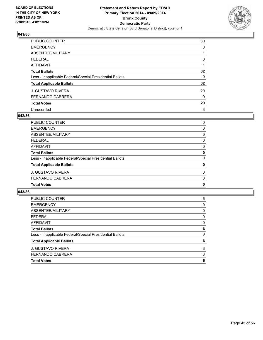

| PUBLIC COUNTER                                           | 30 |
|----------------------------------------------------------|----|
| <b>EMERGENCY</b>                                         | 0  |
| ABSENTEE/MILITARY                                        |    |
| <b>FEDERAL</b>                                           | 0  |
| AFFIDAVIT                                                |    |
| <b>Total Ballots</b>                                     | 32 |
| Less - Inapplicable Federal/Special Presidential Ballots | 0  |
| <b>Total Applicable Ballots</b>                          | 32 |
| <b>J. GUSTAVO RIVERA</b>                                 | 20 |
| <b>FERNANDO CABRERA</b>                                  | 9  |
| <b>Total Votes</b>                                       | 29 |
| Unrecorded                                               | 3  |

## **042/86**

| <b>PUBLIC COUNTER</b>                                    | 0           |
|----------------------------------------------------------|-------------|
| <b>EMERGENCY</b>                                         | 0           |
| <b>ABSENTEE/MILITARY</b>                                 | 0           |
| <b>FEDERAL</b>                                           | 0           |
| <b>AFFIDAVIT</b>                                         | 0           |
| <b>Total Ballots</b>                                     | $\mathbf 0$ |
| Less - Inapplicable Federal/Special Presidential Ballots | $\Omega$    |
| <b>Total Applicable Ballots</b>                          | 0           |
| J. GUSTAVO RIVERA                                        | $\Omega$    |
| FERNANDO CABRERA                                         | 0           |
| <b>Total Votes</b>                                       | 0           |
|                                                          |             |

| <b>Total Votes</b>                                       | 6 |
|----------------------------------------------------------|---|
| FERNANDO CABRERA                                         | 3 |
| <b>J. GUSTAVO RIVERA</b>                                 | 3 |
| <b>Total Applicable Ballots</b>                          | 6 |
| Less - Inapplicable Federal/Special Presidential Ballots | 0 |
| <b>Total Ballots</b>                                     | 6 |
| <b>AFFIDAVIT</b>                                         | 0 |
| <b>FEDERAL</b>                                           | 0 |
| ABSENTEE/MILITARY                                        | 0 |
| <b>EMERGENCY</b>                                         | 0 |
| PUBLIC COUNTER                                           | 6 |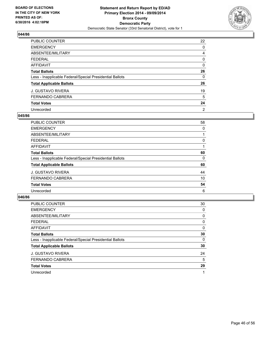

| PUBLIC COUNTER                                           | 22             |
|----------------------------------------------------------|----------------|
| <b>EMERGENCY</b>                                         | 0              |
| ABSENTEE/MILITARY                                        | 4              |
| <b>FEDERAL</b>                                           | 0              |
| AFFIDAVIT                                                | 0              |
| <b>Total Ballots</b>                                     | 26             |
| Less - Inapplicable Federal/Special Presidential Ballots | 0              |
| <b>Total Applicable Ballots</b>                          | 26             |
| <b>J. GUSTAVO RIVERA</b>                                 | 19             |
| <b>FERNANDO CABRERA</b>                                  | 5              |
| <b>Total Votes</b>                                       | 24             |
| Unrecorded                                               | $\overline{2}$ |

#### **045/86**

| PUBLIC COUNTER                                           | 58 |
|----------------------------------------------------------|----|
| <b>EMERGENCY</b>                                         | 0  |
| ABSENTEE/MILITARY                                        |    |
| <b>FEDERAL</b>                                           | 0  |
| <b>AFFIDAVIT</b>                                         |    |
| <b>Total Ballots</b>                                     | 60 |
| Less - Inapplicable Federal/Special Presidential Ballots | 0  |
| <b>Total Applicable Ballots</b>                          | 60 |
| <b>J. GUSTAVO RIVERA</b>                                 | 44 |
| <b>FERNANDO CABRERA</b>                                  | 10 |
| <b>Total Votes</b>                                       | 54 |
| Unrecorded                                               | 6  |

| PUBLIC COUNTER                                           | 30 |
|----------------------------------------------------------|----|
| <b>EMERGENCY</b>                                         | 0  |
| ABSENTEE/MILITARY                                        | 0  |
| <b>FEDERAL</b>                                           | 0  |
| <b>AFFIDAVIT</b>                                         | 0  |
| <b>Total Ballots</b>                                     | 30 |
| Less - Inapplicable Federal/Special Presidential Ballots | 0  |
| <b>Total Applicable Ballots</b>                          | 30 |
| <b>J. GUSTAVO RIVERA</b>                                 | 24 |
| <b>FERNANDO CABRERA</b>                                  | 5  |
| <b>Total Votes</b>                                       | 29 |
| Unrecorded                                               |    |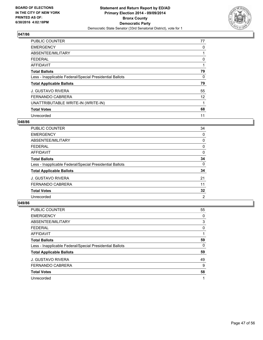

| <b>PUBLIC COUNTER</b>                                    | 77 |
|----------------------------------------------------------|----|
| <b>EMERGENCY</b>                                         | 0  |
| ABSENTEE/MILITARY                                        |    |
| <b>FEDERAL</b>                                           | 0  |
| AFFIDAVIT                                                |    |
| <b>Total Ballots</b>                                     | 79 |
| Less - Inapplicable Federal/Special Presidential Ballots | 0  |
| <b>Total Applicable Ballots</b>                          | 79 |
| <b>J. GUSTAVO RIVERA</b>                                 | 55 |
| <b>FERNANDO CABRERA</b>                                  | 12 |
| UNATTRIBUTABLE WRITE-IN (WRITE-IN)                       |    |
| <b>Total Votes</b>                                       | 68 |
| Unrecorded                                               | 11 |

## **048/86**

| <b>PUBLIC COUNTER</b>                                    | 34             |
|----------------------------------------------------------|----------------|
| <b>EMERGENCY</b>                                         | 0              |
| ABSENTEE/MILITARY                                        | 0              |
| <b>FEDERAL</b>                                           | 0              |
| <b>AFFIDAVIT</b>                                         | 0              |
| <b>Total Ballots</b>                                     | 34             |
| Less - Inapplicable Federal/Special Presidential Ballots | 0              |
| <b>Total Applicable Ballots</b>                          | 34             |
| <b>J. GUSTAVO RIVERA</b>                                 | 21             |
| <b>FERNANDO CABRERA</b>                                  | 11             |
| <b>Total Votes</b>                                       | 32             |
| Unrecorded                                               | $\overline{2}$ |

| PUBLIC COUNTER                                           | 55 |
|----------------------------------------------------------|----|
| <b>EMERGENCY</b>                                         | 0  |
| ABSENTEE/MILITARY                                        | 3  |
| <b>FEDERAL</b>                                           | 0  |
| AFFIDAVIT                                                |    |
| <b>Total Ballots</b>                                     | 59 |
| Less - Inapplicable Federal/Special Presidential Ballots | 0  |
| <b>Total Applicable Ballots</b>                          | 59 |
| <b>J. GUSTAVO RIVERA</b>                                 | 49 |
| <b>FERNANDO CABRERA</b>                                  | 9  |
| <b>Total Votes</b>                                       | 58 |
| Unrecorded                                               |    |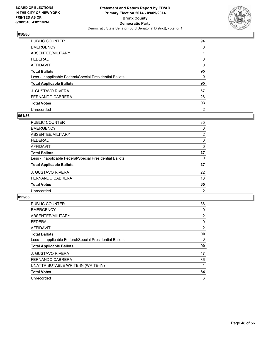

| PUBLIC COUNTER                                           | 94             |
|----------------------------------------------------------|----------------|
| <b>EMERGENCY</b>                                         | 0              |
| ABSENTEE/MILITARY                                        |                |
| <b>FEDERAL</b>                                           | 0              |
| <b>AFFIDAVIT</b>                                         | 0              |
| <b>Total Ballots</b>                                     | 95             |
| Less - Inapplicable Federal/Special Presidential Ballots | 0              |
| <b>Total Applicable Ballots</b>                          | 95             |
| <b>J. GUSTAVO RIVERA</b>                                 | 67             |
| <b>FERNANDO CABRERA</b>                                  | 26             |
| <b>Total Votes</b>                                       | 93             |
| Unrecorded                                               | $\overline{2}$ |

#### **051/86**

| PUBLIC COUNTER                                           | 35             |
|----------------------------------------------------------|----------------|
| <b>EMERGENCY</b>                                         | 0              |
| ABSENTEE/MILITARY                                        | 2              |
| <b>FEDERAL</b>                                           | 0              |
| <b>AFFIDAVIT</b>                                         | 0              |
| <b>Total Ballots</b>                                     | 37             |
| Less - Inapplicable Federal/Special Presidential Ballots | 0              |
| <b>Total Applicable Ballots</b>                          | 37             |
| <b>J. GUSTAVO RIVERA</b>                                 | 22             |
| <b>FERNANDO CABRERA</b>                                  | 13             |
| <b>Total Votes</b>                                       | 35             |
| Unrecorded                                               | $\overline{2}$ |
|                                                          |                |

| <b>PUBLIC COUNTER</b>                                    | 86 |
|----------------------------------------------------------|----|
| <b>EMERGENCY</b>                                         | 0  |
| ABSENTEE/MILITARY                                        | 2  |
| <b>FEDERAL</b>                                           | 0  |
| <b>AFFIDAVIT</b>                                         | 2  |
| <b>Total Ballots</b>                                     | 90 |
| Less - Inapplicable Federal/Special Presidential Ballots | 0  |
| <b>Total Applicable Ballots</b>                          | 90 |
| <b>J. GUSTAVO RIVERA</b>                                 | 47 |
| <b>FERNANDO CABRERA</b>                                  | 36 |
| UNATTRIBUTABLE WRITE-IN (WRITE-IN)                       |    |
| <b>Total Votes</b>                                       | 84 |
| Unrecorded                                               | 6  |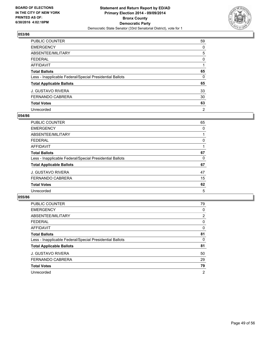

| PUBLIC COUNTER                                           | 59             |
|----------------------------------------------------------|----------------|
| <b>EMERGENCY</b>                                         | 0              |
| ABSENTEE/MILITARY                                        | 5              |
| <b>FEDERAL</b>                                           | 0              |
| AFFIDAVIT                                                |                |
| <b>Total Ballots</b>                                     | 65             |
| Less - Inapplicable Federal/Special Presidential Ballots | 0              |
| <b>Total Applicable Ballots</b>                          | 65             |
| <b>J. GUSTAVO RIVERA</b>                                 | 33             |
| <b>FERNANDO CABRERA</b>                                  | 30             |
| <b>Total Votes</b>                                       | 63             |
| Unrecorded                                               | $\overline{2}$ |

#### **054/86**

| PUBLIC COUNTER                                           | 65 |
|----------------------------------------------------------|----|
| <b>EMERGENCY</b>                                         | 0  |
| ABSENTEE/MILITARY                                        |    |
| <b>FEDERAL</b>                                           | 0  |
| <b>AFFIDAVIT</b>                                         |    |
| <b>Total Ballots</b>                                     | 67 |
| Less - Inapplicable Federal/Special Presidential Ballots | 0  |
| <b>Total Applicable Ballots</b>                          | 67 |
| <b>J. GUSTAVO RIVERA</b>                                 | 47 |
| <b>FERNANDO CABRERA</b>                                  | 15 |
| <b>Total Votes</b>                                       | 62 |
| Unrecorded                                               | 5  |

| PUBLIC COUNTER                                           | 79             |
|----------------------------------------------------------|----------------|
| <b>EMERGENCY</b>                                         | 0              |
| ABSENTEE/MILITARY                                        | $\overline{2}$ |
| <b>FEDERAL</b>                                           | 0              |
| AFFIDAVIT                                                | 0              |
| <b>Total Ballots</b>                                     | 81             |
| Less - Inapplicable Federal/Special Presidential Ballots | 0              |
| <b>Total Applicable Ballots</b>                          | 81             |
| <b>J. GUSTAVO RIVERA</b>                                 | 50             |
| FERNANDO CABRERA                                         | 29             |
| <b>Total Votes</b>                                       | 79             |
| Unrecorded                                               | 2              |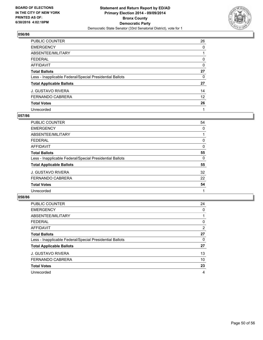

| PUBLIC COUNTER                                           | 26 |
|----------------------------------------------------------|----|
| <b>EMERGENCY</b>                                         | 0  |
| ABSENTEE/MILITARY                                        |    |
| <b>FEDERAL</b>                                           | 0  |
| <b>AFFIDAVIT</b>                                         | 0  |
| <b>Total Ballots</b>                                     | 27 |
| Less - Inapplicable Federal/Special Presidential Ballots | 0  |
| <b>Total Applicable Ballots</b>                          | 27 |
| <b>J. GUSTAVO RIVERA</b>                                 | 14 |
| <b>FERNANDO CABRERA</b>                                  | 12 |
| <b>Total Votes</b>                                       | 26 |
| Unrecorded                                               | 1  |

#### **057/86**

| PUBLIC COUNTER                                           | 54 |
|----------------------------------------------------------|----|
| <b>EMERGENCY</b>                                         | 0  |
| ABSENTEE/MILITARY                                        |    |
| <b>FEDERAL</b>                                           | 0  |
| <b>AFFIDAVIT</b>                                         | 0  |
| <b>Total Ballots</b>                                     | 55 |
| Less - Inapplicable Federal/Special Presidential Ballots | 0  |
| <b>Total Applicable Ballots</b>                          | 55 |
| <b>J. GUSTAVO RIVERA</b>                                 | 32 |
| <b>FERNANDO CABRERA</b>                                  | 22 |
| <b>Total Votes</b>                                       | 54 |
| Unrecorded                                               |    |
|                                                          |    |

| PUBLIC COUNTER                                           | 24             |
|----------------------------------------------------------|----------------|
| <b>EMERGENCY</b>                                         | 0              |
| ABSENTEE/MILITARY                                        |                |
| <b>FEDERAL</b>                                           | 0              |
| AFFIDAVIT                                                | $\overline{2}$ |
| <b>Total Ballots</b>                                     | 27             |
| Less - Inapplicable Federal/Special Presidential Ballots | 0              |
| <b>Total Applicable Ballots</b>                          | 27             |
| <b>J. GUSTAVO RIVERA</b>                                 | 13             |
| FERNANDO CABRERA                                         | 10             |
| <b>Total Votes</b>                                       | 23             |
| Unrecorded                                               | 4              |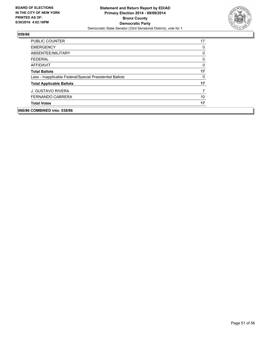

| <b>PUBLIC COUNTER</b>                                    | 17             |
|----------------------------------------------------------|----------------|
| <b>EMERGENCY</b>                                         | 0              |
| ABSENTEE/MILITARY                                        | 0              |
| <b>FEDERAL</b>                                           | 0              |
| AFFIDAVIT                                                | 0              |
| <b>Total Ballots</b>                                     | 17             |
| Less - Inapplicable Federal/Special Presidential Ballots | 0              |
| <b>Total Applicable Ballots</b>                          | 17             |
| <b>J. GUSTAVO RIVERA</b>                                 | $\overline{7}$ |
| <b>FERNANDO CABRERA</b>                                  | 10             |
| <b>Total Votes</b>                                       | 17             |
| 060/86 COMBINED into: 038/86                             |                |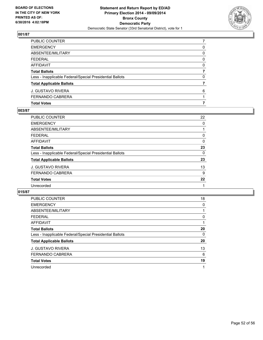

| PUBLIC COUNTER                                           |   |
|----------------------------------------------------------|---|
| EMERGENCY                                                | 0 |
| ABSENTEE/MILITARY                                        | 0 |
| FEDERAL                                                  | 0 |
| AFFIDAVIT                                                | 0 |
| Total Ballots                                            | 7 |
| Less - Inapplicable Federal/Special Presidential Ballots | 0 |
| <b>Total Applicable Ballots</b>                          |   |
| J. GUSTAVO RIVERA                                        | 6 |
| FERNANDO CABRERA                                         |   |
| <b>Total Votes</b>                                       | 7 |

## **003/87**

| PUBLIC COUNTER                                           | 22 |
|----------------------------------------------------------|----|
| <b>EMERGENCY</b>                                         | 0  |
| <b>ABSENTEE/MILITARY</b>                                 |    |
| <b>FEDERAL</b>                                           | 0  |
| AFFIDAVIT                                                | 0  |
| <b>Total Ballots</b>                                     | 23 |
| Less - Inapplicable Federal/Special Presidential Ballots | 0  |
| <b>Total Applicable Ballots</b>                          | 23 |
| J. GUSTAVO RIVERA                                        | 13 |
| FERNANDO CABRERA                                         | 9  |
| <b>Total Votes</b>                                       | 22 |
| Unrecorded                                               |    |
|                                                          |    |

| <b>PUBLIC COUNTER</b>                                    | 18 |
|----------------------------------------------------------|----|
| <b>EMERGENCY</b>                                         | 0  |
| ABSENTEE/MILITARY                                        |    |
| <b>FEDERAL</b>                                           | 0  |
| AFFIDAVIT                                                |    |
| <b>Total Ballots</b>                                     | 20 |
| Less - Inapplicable Federal/Special Presidential Ballots | 0  |
| <b>Total Applicable Ballots</b>                          | 20 |
| <b>J. GUSTAVO RIVERA</b>                                 | 13 |
| <b>FERNANDO CABRERA</b>                                  | 6  |
| <b>Total Votes</b>                                       | 19 |
| Unrecorded                                               |    |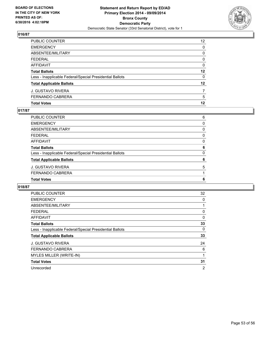

| PUBLIC COUNTER                                           | 12 <sup>2</sup> |
|----------------------------------------------------------|-----------------|
| <b>EMERGENCY</b>                                         | 0               |
| ABSENTEE/MILITARY                                        | 0               |
| <b>FEDERAL</b>                                           | 0               |
| <b>AFFIDAVIT</b>                                         | 0               |
| <b>Total Ballots</b>                                     | 12              |
| Less - Inapplicable Federal/Special Presidential Ballots | 0               |
| <b>Total Applicable Ballots</b>                          | $12 \,$         |
| J. GUSTAVO RIVERA                                        | 7               |
| FERNANDO CABRERA                                         | 5               |
| <b>Total Votes</b>                                       | 12              |

## **017/87**

| PUBLIC COUNTER                                           | 6 |
|----------------------------------------------------------|---|
| <b>EMERGENCY</b>                                         | 0 |
| <b>ABSENTEE/MILITARY</b>                                 | 0 |
| <b>FEDERAL</b>                                           | 0 |
| <b>AFFIDAVIT</b>                                         | 0 |
| <b>Total Ballots</b>                                     | 6 |
| Less - Inapplicable Federal/Special Presidential Ballots | 0 |
| <b>Total Applicable Ballots</b>                          | 6 |
| J. GUSTAVO RIVERA                                        | 5 |
| FERNANDO CABRERA                                         |   |
| <b>Total Votes</b>                                       | 6 |
|                                                          |   |

| <b>PUBLIC COUNTER</b>                                    | 32             |
|----------------------------------------------------------|----------------|
| <b>EMERGENCY</b>                                         | 0              |
| ABSENTEE/MILITARY                                        |                |
| <b>FEDERAL</b>                                           | 0              |
| <b>AFFIDAVIT</b>                                         | 0              |
| <b>Total Ballots</b>                                     | 33             |
| Less - Inapplicable Federal/Special Presidential Ballots | 0              |
| <b>Total Applicable Ballots</b>                          | 33             |
| <b>J. GUSTAVO RIVERA</b>                                 | 24             |
| <b>FERNANDO CABRERA</b>                                  | 6              |
| MYLES MILLER (WRITE-IN)                                  | 1              |
| <b>Total Votes</b>                                       | 31             |
| Unrecorded                                               | $\overline{2}$ |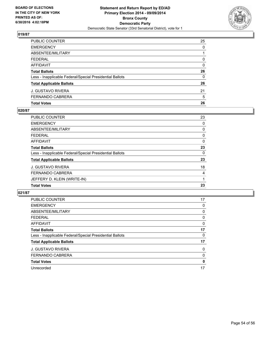

| PUBLIC COUNTER                                           | 25           |
|----------------------------------------------------------|--------------|
| <b>EMERGENCY</b>                                         | $\Omega$     |
| ABSENTEE/MILITARY                                        |              |
| FEDERAL                                                  | $\mathbf{0}$ |
| AFFIDAVIT                                                | 0            |
| <b>Total Ballots</b>                                     | 26           |
| Less - Inapplicable Federal/Special Presidential Ballots | $\mathbf{0}$ |
| <b>Total Applicable Ballots</b>                          | 26           |
| J. GUSTAVO RIVERA                                        | 21           |
| FERNANDO CABRERA                                         | 5            |
| <b>Total Votes</b>                                       | 26           |

## **020/87**

| <b>PUBLIC COUNTER</b>                                    | 23 |
|----------------------------------------------------------|----|
| <b>EMERGENCY</b>                                         | 0  |
| ABSENTEE/MILITARY                                        | 0  |
| <b>FEDERAL</b>                                           | 0  |
| <b>AFFIDAVIT</b>                                         | 0  |
| <b>Total Ballots</b>                                     | 23 |
| Less - Inapplicable Federal/Special Presidential Ballots | 0  |
| <b>Total Applicable Ballots</b>                          | 23 |
| J. GUSTAVO RIVERA                                        | 18 |
| FERNANDO CABRERA                                         | 4  |
| JEFFERY D. KLEIN (WRITE-IN)                              |    |
| <b>Total Votes</b>                                       | 23 |
|                                                          |    |

| <b>PUBLIC COUNTER</b>                                    | 17 |
|----------------------------------------------------------|----|
| <b>EMERGENCY</b>                                         | 0  |
| ABSENTEE/MILITARY                                        | 0  |
| <b>FEDERAL</b>                                           | 0  |
| AFFIDAVIT                                                | 0  |
| <b>Total Ballots</b>                                     | 17 |
| Less - Inapplicable Federal/Special Presidential Ballots | 0  |
| <b>Total Applicable Ballots</b>                          | 17 |
| <b>J. GUSTAVO RIVERA</b>                                 | 0  |
| <b>FERNANDO CABRERA</b>                                  | 0  |
| <b>Total Votes</b>                                       | 0  |
| Unrecorded                                               | 17 |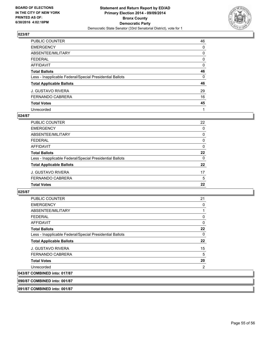

| PUBLIC COUNTER                                           | 46 |
|----------------------------------------------------------|----|
| <b>EMERGENCY</b>                                         | 0  |
| ABSENTEE/MILITARY                                        | 0  |
| <b>FEDERAL</b>                                           | 0  |
| AFFIDAVIT                                                | 0  |
| <b>Total Ballots</b>                                     | 46 |
| Less - Inapplicable Federal/Special Presidential Ballots | 0  |
| <b>Total Applicable Ballots</b>                          | 46 |
| <b>J. GUSTAVO RIVERA</b>                                 | 29 |
| <b>FERNANDO CABRERA</b>                                  | 16 |
| <b>Total Votes</b>                                       | 45 |
| Unrecorded                                               | 1  |

#### **024/87**

| <b>Total Votes</b>                                       |          |
|----------------------------------------------------------|----------|
|                                                          | 22       |
| FERNANDO CABRERA                                         | 5        |
| J. GUSTAVO RIVERA                                        | 17       |
| <b>Total Applicable Ballots</b>                          | 22       |
| Less - Inapplicable Federal/Special Presidential Ballots | $\Omega$ |
| <b>Total Ballots</b>                                     | 22       |
| <b>AFFIDAVIT</b>                                         | 0        |
| <b>FEDERAL</b>                                           | 0        |
| ABSENTEE/MILITARY                                        | 0        |
| <b>EMERGENCY</b>                                         | 0        |
| PUBLIC COUNTER                                           | 22       |

#### **025/87**

| <b>Total Ballots</b><br>Less - Inapplicable Federal/Special Presidential Ballots<br><b>Total Applicable Ballots</b><br><b>J. GUSTAVO RIVERA</b> | 22<br>$\mathbf{0}$<br>22 |
|-------------------------------------------------------------------------------------------------------------------------------------------------|--------------------------|
|                                                                                                                                                 |                          |
|                                                                                                                                                 |                          |
|                                                                                                                                                 |                          |
|                                                                                                                                                 | 15                       |
| FERNANDO CABRERA                                                                                                                                | 5                        |
| <b>Total Votes</b>                                                                                                                              | 20                       |
| Unrecorded                                                                                                                                      | 2                        |
| 043/87 COMBINED into: 017/87                                                                                                                    |                          |

**091/87 COMBINED into: 001/87**